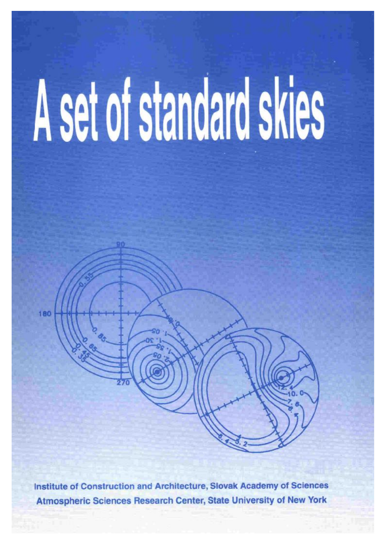# A set of standard skies

Institute of Construction and Architecture, Slovak Academy of Sciences Atmospheric Sciences Research Center, State University of New York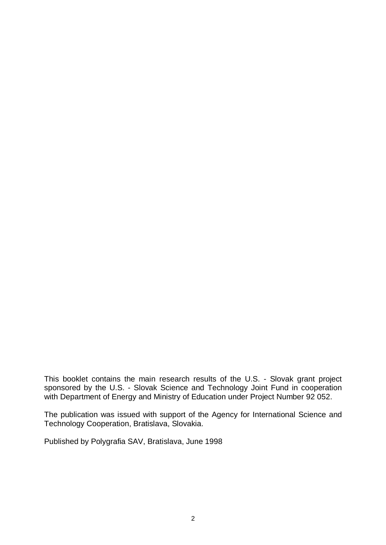This booklet contains the main research results of the U.S. - Slovak grant project sponsored by the U.S. - Slovak Science and Technology Joint Fund in cooperation with Department of Energy and Ministry of Education under Project Number 92 052.

The publication was issued with support of the Agency for International Science and Technology Cooperation, Bratislava, Slovakia.

Published by Polygrafia SAV, Bratislava, June 1998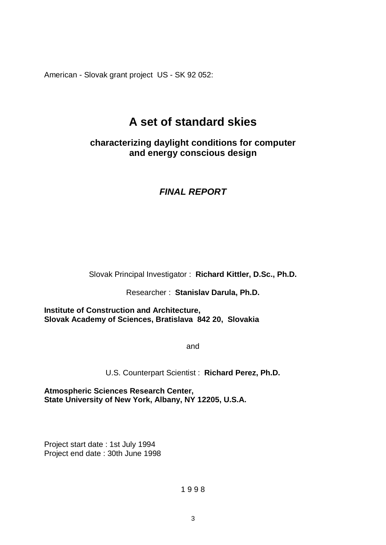American - Slovak grant project US - SK 92 052:

# **A set of standard skies**

#### **characterizing daylight conditions for computer and energy conscious design**

### *FINAL REPORT*

Slovak Principal Investigator : **Richard Kittler, D.Sc., Ph.D.** 

Researcher : **Stanislav Darula, Ph.D.** 

**Institute of Construction and Architecture, Slovak Academy of Sciences, Bratislava 842 20, Slovakia** 

and

U.S. Counterpart Scientist : **Richard Perez, Ph.D.** 

**Atmospheric Sciences Research Center, State University of New York, Albany, NY 12205, U.S.A.** 

Project start date : 1st July 1994 Project end date : 30th June 1998

1 9 9 8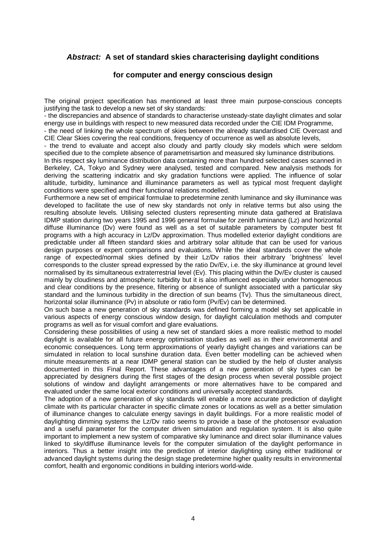#### *Abstract:* **A set of standard skies characterising daylight conditions**

#### **for computer and energy conscious design**

The original project specification has mentioned at least three main purpose-conscious concepts justifying the task to develop a new set of sky standards:

- the discrepancies and absence of standards to characterise unsteady-state daylight climates and solar energy use in buildings with respect to new measured data recorded under the CIE IDM Programme,

- the need of linking the whole spectrum of skies between the already standardised CIE Overcast and CIE Clear Skies covering the real conditions, frequency of occurrence as well as absolute levels,

- the trend to evaluate and accept also cloudy and partly cloudy sky models which were seldom specified due to the complete absence of parametrisartion and measured sky luminance distributions.

In this respect sky luminance distribution data containing more than hundred selected cases scanned in Berkeley, CA, Tokyo and Sydney were analysed, tested and compared. New analysis methods for deriving the scattering indicatrix and sky gradation functions were applied. The influence of solar altitude, turbidity, luminance and illuminance parameters as well as typical most frequent daylight conditions were specified and their functional relations modelled.

Furthermore a new set of empirical formulae to predetermine zenith luminance and sky illuminance was developed to facilitate the use of new sky standards not only in relative terms but also using the resulting absolute levels. Utilising selected clusters representing minute data gathered at Bratislava IDMP station during two years 1995 and 1996 general formulae for zenith luminance (Lz) and horizontal diffuse illuminance (Dv) were found as well as a set of suitable parameters by computer best fit programs with a high accuracy in Lz/Dv approximation. Thus modelled exterior daylight conditions are predictable under all fifteen standard skies and arbitrary solar altitude that can be used for various design purposes or expert comparisons and evaluations. While the ideal standards cover the whole range of expected/normal skies defined by their Lz/Dv ratios their arbitrary ´brightness´ level corresponds to the cluster spread expressed by the ratio Dv/Ev, i.e. the sky illuminance at ground level normalised by its simultaneous extraterrestrial level (Ev). This placing within the Dv/Ev cluster is caused mainly by cloudiness and atmospheric turbidity but it is also influenced especially under homogeneous and clear conditions by the presence, filtering or absence of sunlight associated with a particular sky standard and the luminous turbidity in the direction of sun beams (Tv). Thus the simultaneous direct, horizontal solar illuminance (Pv) in absolute or ratio form (Pv/Ev) can be determined.

On such base a new generation of sky standards was defined forming a model sky set applicable in various aspects of energy conscious window design, for daylight calculation methods and computer programs as well as for visual comfort and glare evaluations.

Considering these possibilities of using a new set of standard skies a more realistic method to model daylight is available for all future energy optimisation studies as well as in their environmental and economic consequences. Long term approximations of yearly daylight changes and variations can be simulated in relation to local sunshine duration data. Even better modelling can be achieved when minute measurements at a near IDMP general station can be studied by the help of cluster analysis documented in this Final Report. These advantages of a new generation of sky types can be appreciated by designers during the first stages of the design process when several possible project solutions of window and daylight arrangements or more alternatives have to be compared and evaluated under the same local exterior conditions and universally accepted standards.

The adoption of a new generation of sky standards will enable a more accurate prediction of daylight climate with its particular character in specific climate zones or locations as well as a better simulation of illuminance changes to calculate energy savings in daylit buildings. For a more realistic model of daylighting dimming systems the Lz/Dv ratio seems to provide a base of the photosensor evaluation and a useful parameter for the computer driven simulation and regulation system. It is also quite important to implement a new system of comparative sky luminance and direct solar illuminance values linked to sky/diffuse illuminance levels for the computer simulation of the daylight performance in interiors. Thus a better insight into the prediction of interior daylighting using either traditional or advanced daylight systems during the design stage predetermine higher quality results in environmental comfort, health and ergonomic conditions in building interiors world-wide.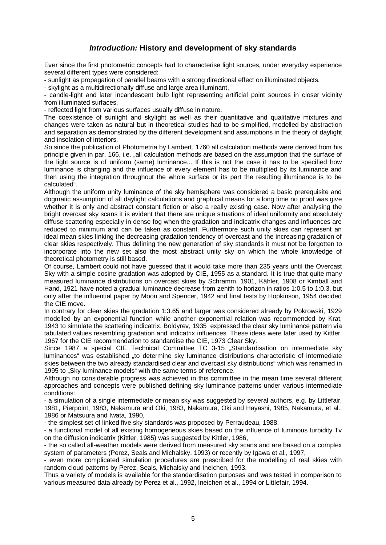#### *Introduction:* **History and development of sky standards**

Ever since the first photometric concepts had to characterise light sources, under everyday experience several different types were considered:

- sunlight as propagation of parallel beams with a strong directional effect on illuminated objects,

- skylight as a multidirectionally diffuse and large area illuminant,

- candle-light and later incandescent bulb light representing artificial point sources in closer vicinity from illuminated surfaces,

- reflected light from various surfaces usually diffuse in nature.

The coexistence of sunlight and skylight as well as their quantitative and qualitative mixtures and changes were taken as natural but in theoretical studies had to be simplified, modelled by abstraction and separation as demonstrated by the different development and assumptions in the theory of daylight and insolation of interiors.

So since the publication of Photometria by Lambert, 1760 all calculation methods were derived from his principle given in par. 166, i.e. "all calculation methods are based on the assumption that the surface of the light source is of uniform (same) luminance... If this is not the case it has to be specified how luminance is changing and the influence of every element has to be multiplied by its luminance and then using the integration throughout the whole surface or its part the resulting illuminance is to be calculated".

Although the uniform unity luminance of the sky hemisphere was considered a basic prerequisite and dogmatic assumption of all daylight calculations and graphical means for a long time no proof was give whether it is only and abstract constant fiction or also a really existing case. Now after analysing the bright overcast sky scans it is evident that there are unique situations of ideal uniformity and absolutely diffuse scattering especially in dense fog when the gradation and indicatrix changes and influences are reduced to minimum and can be taken as constant. Furthermore such unity skies can represent an ideal mean skies linking the decreasing gradation tendency of overcast and the increasing gradation of clear skies respectively. Thus defining the new generation of sky standards it must not be forgotten to incorporate into the new set also the most abstract unity sky on which the whole knowledge of theoretical photometry is still based.

Of course, Lambert could not have guessed that it would take more than 235 years until the Overcast Sky with a simple cosine gradation was adopted by CIE, 1955 as a standard. It is true that quite many measured luminance distributions on overcast skies by Schramm, 1901, Kähler, 1908 or Kimball and Hand, 1921 have noted a gradual luminance decrease from zenith to horizon in ratios 1:0.5 to 1:0.3, but only after the influential paper by Moon and Spencer, 1942 and final tests by Hopkinson, 1954 decided the CIE move.

In contrary for clear skies the gradation 1:3.65 and larger was considered already by Pokrowski, 1929 modelled by an exponential function while another exponential relation was recommended by Krat, 1943 to simulate the scattering indicatrix. Boldyrev, 1935 expressed the clear sky luminance pattern via tabulated values resembling gradation and indicatrix influences. These ideas were later used by Kittler, 1967 for the CIE recommendation to standardise the CIE, 1973 Clear Sky.

Since 1987 a special CIE Technical Committee TC 3-15 "Standardisation on intermediate sky luminances" was established "to determine sky luminance distributions characteristic of intermediate skies between the two already standardised clear and overcast sky distributions" which was renamed in 1995 to "Sky luminance models" with the same terms of reference.

Although no considerable progress was achieved in this committee in the mean time several different approaches and concepts were published defining sky luminance patterns under various intermediate conditions:

- a simulation of a single intermediate or mean sky was suggested by several authors, e.g. by Littlefair, 1981, Pierpoint, 1983, Nakamura and Oki, 1983, Nakamura, Oki and Hayashi, 1985, Nakamura, et al., 1986 or Matsuura and Iwata, 1990,

- the simplest set of linked five sky standards was proposed by Perraudeau, 1988,

- a functional model of all existing homogeneous skies based on the influence of luminous turbidity Tv on the diffusion indicatrix (Kittler, 1985) was suggested by Kittler, 1986,

- the so called all-weather models were derived from measured sky scans and are based on a complex system of parameters (Perez, Seals and Michalsky, 1993) or recently by Igawa et al., 1997,

- even more complicated simulation procedures are prescribed for the modelling of real skies with random cloud patterns by Perez, Seals, Michalsky and Ineichen, 1993.

Thus a variety of models is available for the standardisation purposes and was tested in comparison to various measured data already by Perez et al., 1992, Ineichen et al., 1994 or Littlefair, 1994.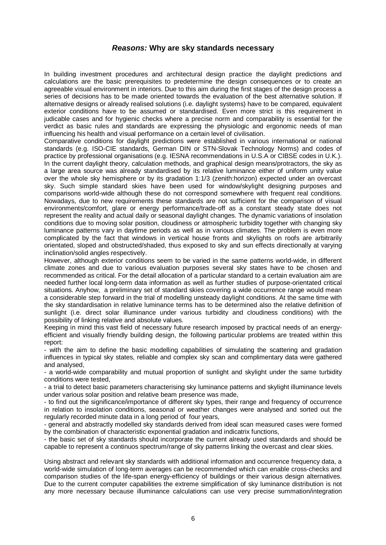#### *Reasons:* **Why are sky standards necessary**

In building investment procedures and architectural design practice the daylight predictions and calculations are the basic prerequisites to predetermine the design consequences or to create an agreeable visual environment in interiors. Due to this aim during the first stages of the design process a series of decisions has to be made oriented towards the evaluation of the best alternative solution. If alternative designs or already realised solutions (i.e. daylight systems) have to be compared, equivalent exterior conditions have to be assumed or standardised. Even more strict is this requirement in judicable cases and for hygienic checks where a precise norm and comparability is essential for the verdict as basic rules and standards are expressing the physiologic and ergonomic needs of man influencing his health and visual performance on a certain level of civilisation.

Comparative conditions for daylight predictions were established in various international or national standards (e.g. ISO-CIE standards, German DIN or STN-Slovak Technology Norms) and codes of practice by professional organisations (e.g. IESNA recommendations in U.S.A or CIBSE codes in U.K.). In the current daylight theory, calculation methods, and graphical design means/protractors, the sky as a large area source was already standardised by its relative luminance either of uniform unity value over the whole sky hemisphere or by its gradation 1:1/3 (zenith:horizon) expected under an overcast sky. Such simple standard skies have been used for window/skylight designing purposes and comparisons world-wide although these do not correspond somewhere with frequent real conditions. Nowadays, due to new requirements these standards are not sufficient for the comparison of visual environments/comfort, glare or energy performance/trade-off as a constant steady state does not represent the reality and actual daily or seasonal daylight changes. The dynamic variations of insolation conditions due to moving solar position, cloudiness or atmospheric turbidity together with changing sky luminance patterns vary in daytime periods as well as in various climates. The problem is even more complicated by the fact that windows in vertical house fronts and skylights on roofs are arbitrarily orientated, sloped and obstructed/shaded, thus exposed to sky and sun effects directionally at varying inclination/solid angles respectively.

However, although exterior conditions seem to be varied in the same patterns world-wide, in different climate zones and due to various evaluation purposes several sky states have to be chosen and recommended as critical. For the detail allocation of a particular standard to a certain evaluation aim are needed further local long-term data information as well as further studies of purpose-orientated critical situations. Anyhow, a preliminary set of standard skies covering a wide occurrence range would mean a considerable step forward in the trial of modelling unsteady daylight conditions. At the same time with the sky standardisation in relative luminance terms has to be determined also the relative definition of sunlight (i.e. direct solar illuminance under various turbidity and cloudiness conditions) with the possibility of linking relative and absolute values.

Keeping in mind this vast field of necessary future research imposed by practical needs of an energyefficient and visually friendly building design, the following particular problems are treated within this report:

- with the aim to define the basic modelling capabilities of simulating the scattering and gradation influences in typical sky states, reliable and complex sky scan and complimentary data were gathered and analysed,

- a world-wide comparability and mutual proportion of sunlight and skylight under the same turbidity conditions were tested,

- a trial to detect basic parameters characterising sky luminance patterns and skylight illuminance levels under various solar position and relative beam presence was made,

- to find out the significance/importance of different sky types, their range and frequency of occurrence in relation to insolation conditions, seasonal or weather changes were analysed and sorted out the regularly recorded minute data in a long period of four years,

- general and abstractly modelled sky standards derived from ideal scan measured cases were formed by the combination of characteristic exponential gradation and indicatrix functions,

- the basic set of sky standards should incorporate the current already used standards and should be capable to represent a continuos spectrum/range of sky patterns linking the overcast and clear skies.

Using abstract and relevant sky standards with additional information and occurrence frequency data, a world-wide simulation of long-term averages can be recommended which can enable cross-checks and comparison studies of the life-span energy-efficiency of buildings or their various design alternatives. Due to the current computer capabilities the extreme simplification of sky luminance distribution is not any more necessary because illuminance calculations can use very precise summation/integration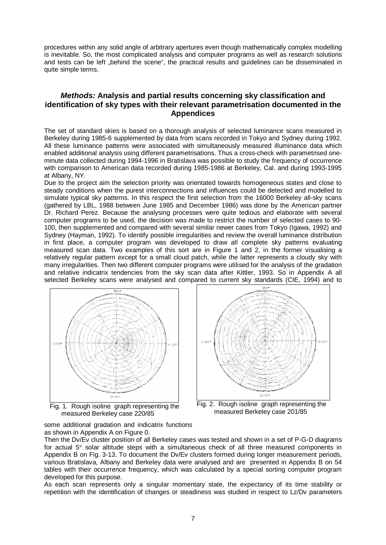procedures within any solid angle of arbitrary apertures even though mathematically complex modelling is inevitable. So, the most complicated analysis and computer programs as well as research solutions and tests can be left "behind the scene", the practical results and guidelines can be disseminated in quite simple terms.

#### *Methods:* **Analysis and partial results concerning sky classification and identification of sky types with their relevant parametrisation documented in the Appendices**

The set of standard skies is based on a thorough analysis of selected luminance scans measured in Berkeley during 1985-6 supplemented by data from scans recorded in Tokyo and Sydney during 1992. All these luminance patterns were associated with simultaneously measured illuminance data which enabled additional analysis using different parametrisations. Thus a cross-check with parametrised oneminute data collected during 1994-1996 in Bratislava was possible to study the frequency of occurrence with comparison to American data recorded during 1985-1986 at Berkeley, Cal. and during 1993-1995 at Albany, NY.

Due to the project aim the selection priority was orientated towards homogeneous states and close to steady conditions when the purest interconnections and influences could be detected and modelled to simulate typical sky patterns. In this respect the first selection from the 16000 Berkeley all-sky scans (gathered by LBL, 1988 between June 1985 and December 1986) was done by the American partner Dr. Richard Perez. Because the analysing processes were quite tedious and elaborate with several computer programs to be used, the decision was made to restrict the number of selected cases to 90- 100, then supplemented and compared with several similar newer cases from Tokyo (Igawa, 1992) and Sydney (Hayman, 1992). To identify possible irregularities and review the overall luminance distribution in first place, a computer program was developed to draw all complete sky patterns evaluating measured scan data. Two examples of this sort are in Figure 1 and 2, in the former visualising a relatively regular pattern except for a small cloud patch, while the latter represents a cloudy sky with many irregularities. Then two different computer programs were utilised for the analysis of the gradation and relative indicatrix tendencies from the sky scan data after Kittler, 1993. So in Appendix A all selected Berkeley scans were analysed and compared to current sky standards (CIE, 1994) and to



Fig. 1. Rough isoline graph representing the measured Berkeley case 220/85



Fig. 2. Rough isoline graph representing the measured Berkeley case 201/85

some additional gradation and indicatrix functions as shown in Appendix A on Figure 0.

Then the Dv/Ev cluster position of all Berkeley cases was tested and shown in a set of P-G-D diagrams for actual 5° solar altitude steps with a simultaneous check of all three measured components in Appendix B on Fig. 3-13. To document the Dv/Ev clusters formed during longer measurement periods, various Bratislava, Albany and Berkeley data were analysed and are presented in Appendix B on 54 tables with their occurrence frequency, which was calculated by a special sorting computer program developed for this purpose.

As each scan represents only a singular momentary state, the expectancy of its time stability or repetition with the identification of changes or steadiness was studied in respect to Lz/Dv parameters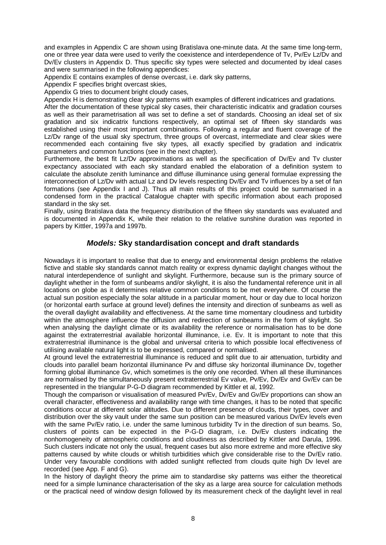and examples in Appendix C are shown using Bratislava one-minute data. At the same time long-term, one or three year data were used to verify the coexistence and interdependence of Tv, Pv/Ev Lz/Dv and Dv/Ev clusters in Appendix D. Thus specific sky types were selected and documented by ideal cases and were summarised in the following appendices:

Appendix E contains examples of dense overcast, i.e. dark sky patterns,

Appendix F specifies bright overcast skies,

Appendix G tries to document bright cloudy cases,

Appendix H is demonstrating clear sky patterns with examples of different indicatrices and gradations.

After the documentation of these typical sky cases, their characteristic indicatrix and gradation courses as well as their parametrisation all was set to define a set of standards. Choosing an ideal set of six gradation and six indicatrix functions respectively, an optimal set of fifteen sky standards was established using their most important combinations. Following a regular and fluent coverage of the Lz/Dv range of the usual sky spectrum, three groups of overcast, intermediate and clear skies were recommended each containing five sky types, all exactly specified by gradation and indicatrix parameters and common functions (see in the next chapter).

Furthermore, the best fit Lz/Dv approximations as well as the specification of Dv/Ev and Tv cluster expectancy associated with each sky standard enabled the elaboration of a definition system to calculate the absolute zenith luminance and diffuse illuminance using general formulae expressing the interconnection of Lz/Dv with actual Lz and Dv levels respecting Dv/Ev and Tv influences by a set of fan formations (see Appendix I and J). Thus all main results of this project could be summarised in a condensed form in the practical Catalogue chapter with specific information about each proposed standard in the sky set.

Finally, using Bratislava data the frequency distribution of the fifteen sky standards was evaluated and is documented in Appendix K, while their relation to the relative sunshine duration was reported in papers by Kittler, 1997a and 1997b.

#### *Models:* **Sky standardisation concept and draft standards**

Nowadays it is important to realise that due to energy and environmental design problems the relative fictive and stable sky standards cannot match reality or express dynamic daylight changes without the natural interdependence of sunlight and skylight. Furthermore, because sun is the primary source of daylight whether in the form of sunbeams and/or skylight, it is also the fundamental reference unit in all locations on globe as it determines relative common conditions to be met everywhere. Of course the actual sun position especially the solar altitude in a particular moment, hour or day due to local horizon (or horizontal earth surface at ground level) defines the intensity and direction of sunbeams as well as the overall daylight availability and effectiveness. At the same time momentary cloudiness and turbidity within the atmosphere influence the diffusion and redirection of sunbeams in the form of skylight. So when analysing the daylight climate or its availability the reference or normalisation has to be done against the extraterrestrial available horizontal illuminance, i.e. Ev. It is important to note that this extraterrestrial illuminance is the global and universal criteria to which possible local effectiveness of utilising available natural light is to be expressed, compared or normalised.

At ground level the extraterrestrial illuminance is reduced and split due to air attenuation, turbidity and clouds into parallel beam horizontal illuminance Pv and diffuse sky horizontal illuminance Dv, together forming global illuminance Gv, which sometimes is the only one recorded. When all these illuminances are normalised by the simultaneously present extraterrestrial Ev value, Pv/Ev, Dv/Ev and Gv/Ev can be represented in the triangular P-G-D diagram recommended by Kittler et al, 1992.

Though the comparison or visualisation of measured Pv/Ev, Dv/Ev and Gv/Ev proportions can show an overall character, effectiveness and availability range with time changes, it has to be noted that specific conditions occur at different solar altitudes. Due to different presence of clouds, their types, cover and distribution over the sky vault under the same sun position can be measured various Dv/Ev levels even with the same Pv/Ev ratio, i.e. under the same luminous turbidity Tv in the direction of sun beams. So, clusters of points can be expected in the P-G-D diagram, i.e. Dv/Ev clusters indicating the nonhomogeneity of atmospheric conditions and cloudiness as described by Kittler and Darula, 1996. Such clusters indicate not only the usual, frequent cases but also more extreme and more effective sky patterns caused by white clouds or whitish turbidities which give considerable rise to the Dv/Ev ratio. Under very favourable conditions with added sunlight reflected from clouds quite high Dv level are recorded (see App. F and G).

In the history of daylight theory the prime aim to standardise sky patterns was either the theoretical need for a simple luminance characterisation of the sky as a large area source for calculation methods or the practical need of window design followed by its measurement check of the daylight level in real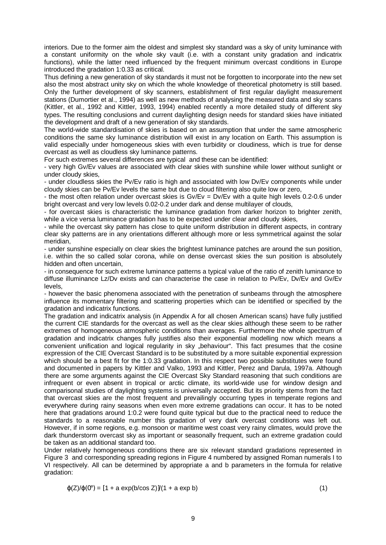interiors. Due to the former aim the oldest and simplest sky standard was a sky of unity luminance with a constant uniformity on the whole sky vault (i.e. with a constant unity gradation and indicatrix functions), while the latter need influenced by the frequent minimum overcast conditions in Europe introduced the gradation 1:0.33 as critical.

Thus defining a new generation of sky standards it must not be forgotten to incorporate into the new set also the most abstract unity sky on which the whole knowledge of theoretical photometry is still based. Only the further development of sky scanners, establishment of first regular daylight measurement stations (Dumortier et al., 1994) as well as new methods of analysing the measured data and sky scans (Kittler, et al., 1992 and Kittler, 1993, 1994) enabled recently a more detailed study of different sky types. The resulting conclusions and current daylighting design needs for standard skies have initiated the development and draft of a new generation of sky standards.

The world-wide standardisation of skies is based on an assumption that under the same atmospheric conditions the same sky luminance distribution will exist in any location on Earth. This assumption is valid especially under homogeneous skies with even turbidity or cloudiness, which is true for dense overcast as well as cloudless sky luminance patterns.

For such extremes several differences are typical and these can be identified:

- very high Gv/Ev values are associated with clear skies with sunshine while lower without sunlight or under cloudy skies,

- under cloudless skies the Pv/Ev ratio is high and associated with low Dv/Ev components while under cloudy skies can be Pv/Ev levels the same but due to cloud filtering also quite low or zero,

- the most often relation under overcast skies is Gv/Ev = Dv/Ev with a quite high levels 0.2-0.6 under bright overcast and very low levels 0.02-0.2 under dark and dense multilayer of clouds,

- for overcast skies is characteristic the luminance gradation from darker horizon to brighter zenith, while a vice versa luminance gradation has to be expected under clear and cloudy skies,

- while the overcast sky pattern has close to quite uniform distribution in different aspects, in contrary clear sky patterns are in any orientations different although more or less symmetrical against the solar meridian,

- under sunshine especially on clear skies the brightest luminance patches are around the sun position, i.e. within the so called solar corona, while on dense overcast skies the sun position is absolutely hidden and often uncertain,

- in consequence for such extreme luminance patterns a typical value of the ratio of zenith luminance to diffuse illuminance Lz/Dv exists and can characterise the case in relation to Pv/Ev, Dv/Ev and Gv/Ev levels,

- however the basic phenomena associated with the penetration of sunbeams through the atmosphere influence its momentary filtering and scattering properties which can be identified or specified by the gradation and indicatrix functions.

The gradation and indicatrix analysis (in Appendix A for all chosen American scans) have fully justified the current CIE standards for the overcast as well as the clear skies although these seem to be rather extremes of homogeneous atmospheric conditions than averages. Furthermore the whole spectrum of gradation and indicatrix changes fully justifies also their exponential modelling now which means a convenient unification and logical regularity in sky "behaviour". This fact presumes that the cosine expression of the CIE Overcast Standard is to be substituted by a more suitable exponential expression which should be a best fit for the 1:0.33 gradation. In this respect two possible substitutes were found and documented in papers by Kittler and Valko, 1993 and Kittler, Perez and Darula, 1997a. Although there are some arguments against the CIE Overcast Sky Standard reasoning that such conditions are infrequent or even absent in tropical or arctic climate, its world-wide use for window design and comparisonal studies of daylighting systems is universally accepted. But its priority stems from the fact that overcast skies are the most frequent and prevailingly occurring types in temperate regions and everywhere during rainy seasons when even more extreme gradations can occur. It has to be noted here that gradations around 1:0.2 were found quite typical but due to the practical need to reduce the standards to a reasonable number this gradation of very dark overcast conditions was left out. However, if in some regions, e.g. monsoon or maritime west coast very rainy climates, would prove the dark thunderstorm overcast sky as important or seasonally frequent, such an extreme gradation could be taken as an additional standard too.

Under relatively homogeneous conditions there are six relevant standard gradations represented in Figure 3 and corresponding spreading regions in Figure 4 numbered by assigned Roman numerals I to VI respectively. All can be determined by appropriate a and b parameters in the formula for relative gradation:

$$
\varphi(Z)/\varphi(0^{\circ}) = [1 + a \exp(b/\cos Z)]/(1 + a \exp b)
$$
 (1)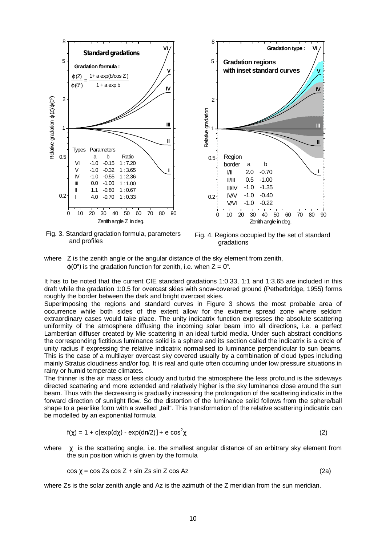

Fig. 3. Standard gradation formula, parameters and profiles



where Z is the zenith angle or the angular distance of the sky element from zenith,  $\varphi(0^{\circ})$  is the gradation function for zenith, i.e. when  $Z = 0^{\circ}$ .

It has to be noted that the current CIE standard gradations 1:0.33, 1:1 and 1:3.65 are included in this draft while the gradation 1:0.5 for overcast skies with snow-covered ground (Petherbridge, 1955) forms roughly the border between the dark and bright overcast skies.

Superimposing the regions and standard curves in Figure 3 shows the most probable area of occurrence while both sides of the extent allow for the extreme spread zone where seldom extraordinary cases would take place. The unity indicatrix function expresses the absolute scattering uniformity of the atmosphere diffusing the incoming solar beam into all directions, i.e. a perfect Lambertian diffuser created by Mie scattering in an ideal turbid media. Under such abstract conditions the corresponding fictitious luminance solid is a sphere and its section called the indicatrix is a circle of unity radius if expressing the relative indicatrix normalised to luminance perpendicular to sun beams. This is the case of a multilayer overcast sky covered usually by a combination of cloud types including mainly Stratus cloudiness and/or fog. It is real and quite often occurring under low pressure situations in rainy or humid temperate climates.

The thinner is the air mass or less cloudy and turbid the atmosphere the less profound is the sideways directed scattering and more extended and relatively higher is the sky luminance close around the sun beam. Thus with the decreasing is gradually increasing the prolongation of the scattering indicatix in the forward direction of sunlight flow. So the distortion of the luminance solid follows from the sphere/ball shape to a pearlike form with a swelled "tail". This transformation of the relative scattering indicatrix can be modelled by an exponential formula

$$
f(\chi) = 1 + c[exp(d\chi) - exp(d\pi/2)] + e cos2\chi
$$
 (2)

where  $\chi$  is the scattering angle, i.e. the smallest angular distance of an arbitrary sky element from the sun position which is given by the formula

$$
\cos \chi = \cos Zs \cos Z + \sin Zs \sin Z \cos Az \tag{2a}
$$

where Zs is the solar zenith angle and Az is the azimuth of the Z meridian from the sun meridian.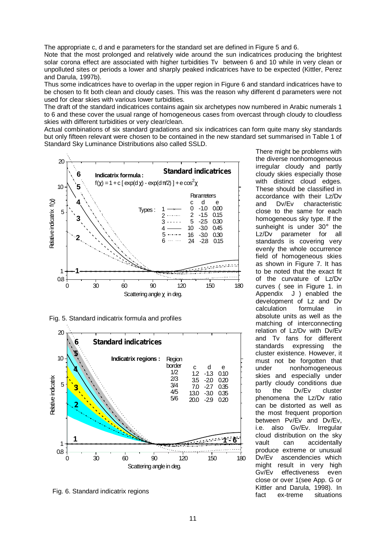The appropriate c, d and e parameters for the standard set are defined in Figure 5 and 6.

Note that the most prolonged and relatively wide around the sun indicatrices producing the brightest solar corona effect are associated with higher turbidities Tv between 6 and 10 while in very clean or unpolluted sites or periods a lower and sharply peaked indicatrices have to be expected (Kittler, Perez and Darula, 1997b).

Thus some indicatrices have to overlap in the upper region in Figure 6 and standard indicatrices have to be chosen to fit both clean and cloudy cases. This was the reason why different d parameters were not used for clear skies with various lower turbidities.

The draft of the standard indicatrices contains again six archetypes now numbered in Arabic numerals 1 to 6 and these cover the usual range of homogeneous cases from overcast through cloudy to cloudless skies with different turbidities or very clear/clean.

Actual combinations of six standard gradations and six indicatrices can form quite many sky standards but only fifteen relevant were chosen to be contained in the new standard set summarised in Table 1 of Standard Sky Luminance Distributions also called SSLD.



Fig. 5. Standard indicatrix formula and profiles



Fig. 6. Standard indicatrix regions

There might be problems with the diverse nonhomogeneous irregular cloudy and partly cloudy skies especially those with distinct cloud edges. These should be classified in accordance with their Lz/Dv and Dv/Ev characteristic close to the same for each homogeneous sky type. If the sunheight is under 30° the Lz/Dv parameter for all standards is covering very evenly the whole occurrence field of homogeneous skies as shown in Figure 7. It has to be noted that the exact fit of the curvature of Lz/Dv curves ( see in Figure 1. in Appendix J ) enabled the development of Lz and Dv calculation formulae in absolute units as well as the matching of interconnecting relation of Lz/Dv with Dv/Ev and Tv fans for different standards expressing the cluster existence. However, it must not be forgotten that under nonhomogeneous skies and especially under partly cloudy conditions due to the Dv/Ev cluster phenomena the Lz/Dv ratio can be distorted as well as the most frequent proportion between Pv/Ev and Dv/Ev, i.e. also Gv/Ev. Irregular cloud distribution on the sky vault can accidentally produce extreme or unusual Dv/Ev ascendencies which might result in very high Gv/Ev effectiveness even close or over 1(see App. G or Kittler and Darula, 1998). In fact ex-treme situations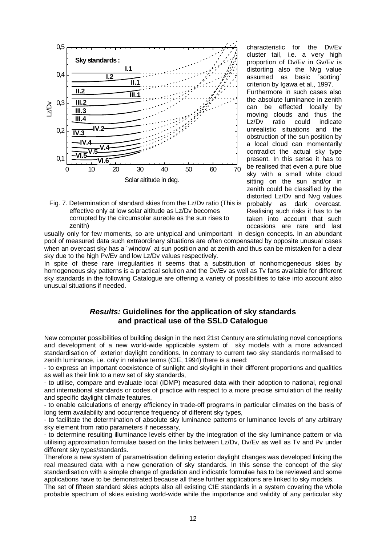

Fig. 7. Determination of standard skies from the Lz/Dv ratio (This is effective only at low solar altitude as Lz/Dv becomes corrupted by the circumsolar aureole as the sun rises to zenith)

characteristic for the Dv/Ev cluster tail, i.e. a very high proportion of Dv/Ev in Gv/Ev is distorting also the Nvg value assumed as basic ´sorting´ criterion by Igawa et al., 1997. Furthermore in such cases also the absolute luminance in zenith can be effected locally by moving clouds and thus the Lz/Dv ratio could indicate unrealistic situations and the obstruction of the sun position by a local cloud can momentarily contradict the actual sky type present. In this sense it has to be realised that even a pure blue sky with a small white cloud sitting on the sun and/or in zenith could be classified by the distorted Lz/Dv and Nvg values probably as dark overcast. Realising such risks it has to be taken into account that such occasions are rare and last

usually only for few moments, so are untypical and unimportant in design concepts. In an abundant pool of measured data such extraordinary situations are often compensated by opposite unusual cases when an overcast sky has a 'window' at sun position and at zenith and thus can be mistaken for a clear sky due to the high Pv/Ev and low Lz/Dv values respectively.

In spite of these rare irregularities it seems that a substitution of nonhomogeneous skies by homogeneous sky patterns is a practical solution and the Dv/Ev as well as Tv fans available for different sky standards in the following Catalogue are offering a variety of possibilities to take into account also unusual situations if needed.

#### *Results:* **Guidelines for the application of sky standards and practical use of the SSLD Catalogue**

New computer possibilities of building design in the next 21st Century are stimulating novel conceptions and development of a new world-wide applicable system of sky models with a more advanced standardisation of exterior daylight conditions. In contrary to current two sky standards normalised to zenith luminance, i.e. only in relative terms (CIE, 1994) there is a need:

- to express an important coexistence of sunlight and skylight in their different proportions and qualities as well as their link to a new set of sky standards,

- to utilise, compare and evaluate local (IDMP) measured data with their adoption to national, regional and international standards or codes of practice with respect to a more precise simulation of the reality and specific daylight climate features,

- to enable calculations of energy efficiency in trade-off programs in particular climates on the basis of long term availability and occurrence frequency of different sky types,

- to facilitate the determination of absolute sky luminance patterns or luminance levels of any arbitrary sky element from ratio parameters if necessary,

- to determine resulting illuminance levels either by the integration of the sky luminance pattern or via utilising approximation formulae based on the links between Lz/Dv, Dv/Ev as well as Tv and Pv under different sky types/standards.

Therefore a new system of parametrisation defining exterior daylight changes was developed linking the real measured data with a new generation of sky standards. In this sense the concept of the sky standardisation with a simple change of gradation and indicatrix formulae has to be reviewed and some applications have to be demonstrated because all these further applications are linked to sky models.

The set of fifteen standard skies adopts also all existing CIE standards in a system covering the whole probable spectrum of skies existing world-wide while the importance and validity of any particular sky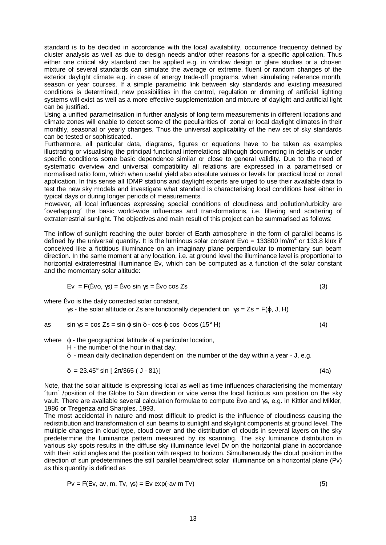standard is to be decided in accordance with the local availability, occurrence frequency defined by cluster analysis as well as due to design needs and/or other reasons for a specific application. Thus either one critical sky standard can be applied e.g. in window design or glare studies or a chosen mixture of several standards can simulate the average or extreme, fluent or random changes of the exterior daylight climate e.g. in case of energy trade-off programs, when simulating reference month, season or year courses. If a simple parametric link between sky standards and existing measured conditions is determined, new possibilities in the control, regulation or dimming of artificial lighting systems will exist as well as a more effective supplementation and mixture of daylight and artificial light can be justified.

Using a unified parametrisation in further analysis of long term measurements in different locations and climate zones will enable to detect some of the peculiarities of zonal or local daylight climates in their monthly, seasonal or yearly changes. Thus the universal applicability of the new set of sky standards can be tested or sophisticated.

Furthermore, all particular data, diagrams, figures or equations have to be taken as examples illustrating or visualising the principal functional interrelations although documenting in details or under specific conditions some basic dependence similar or close to general validity. Due to the need of systematic overview and universal compatibility all relations are expressed in a parametrised or normalised ratio form, which when useful yield also absolute values or levels for practical local or zonal application. In this sense all IDMP stations and daylight experts are urged to use their available data to test the new sky models and investigate what standard is characterising local conditions best either in typical days or during longer periods of measurements.

However, all local influences expressing special conditions of cloudiness and pollution/turbidity are ´overlapping´ the basic world-wide influences and transformations, i.e. filtering and scattering of extraterrestrial sunlight. The objectives and main result of this project can be summarised as follows:

The inflow of sunlight reaching the outer border of Earth atmosphere in the form of parallel beams is defined by the universal quantity. It is the luminous solar constant Evo = 133800 lm/m<sup>2</sup> or 133.8 klux if conceived like a fictitious illuminance on an imaginary plane perpendicular to momentary sun beam direction. In the same moment at any location, i.e. at ground level the illuminance level is proportional to horizontal extraterrestrial illuminance Ev, which can be computed as a function of the solar constant and the momentary solar altitude:

$$
Ev = F(\tilde{E}vo, \gamma s) = \tilde{E}vo \sin \gamma s = \tilde{E}vo \cos Zs
$$
 (3)

where Ěvo is the daily corrected solar constant,

γs - the solar altitude or Zs are functionally dependent on  $γs = Zs = F(φ, J, H)$ 

as 
$$
\sin \gamma s = \cos Zs = \sin \varphi \sin \delta - \cos \varphi \cos \delta \cos (15^\circ \text{ H})
$$
 (4)

where  $\varphi$  - the geographical latitude of a particular location,

H - the number of the hour in that day.

δ - mean daily declination dependent on the number of the day within a year - J, e.g.

$$
\delta = 23.45^{\circ} \sin \left[ 2\pi/365 \left( 1 - 81 \right) \right]
$$
 (4a)

Note, that the solar altitude is expressing local as well as time influences characterising the momentary ´turn´ /position of the Globe to Sun direction or vice versa the local fictitious sun position on the sky vault. There are available several calculation formulae to compute Ěvo and γs, e.g. in Kittler and Mikler, 1986 or Tregenza and Sharples, 1993.

The most accidental in nature and most difficult to predict is the influence of cloudiness causing the redistribution and transformation of sun beams to sunlight and skylight components at ground level. The multiple changes in cloud type, cloud cover and the distribution of clouds in several layers on the sky predetermine the luminance pattern measured by its scanning. The sky luminance distribution in various sky spots results in the diffuse sky illuminance level Dv on the horizontal plane in accordance with their solid angles and the position with respect to horizon. Simultaneously the cloud position in the direction of sun predetermines the still parallel beam/direct solar illuminance on a horizontal plane (Pv) as this quantity is defined as

$$
Pv = F(Ev, av, m, Tv, \gamma s) = Ev exp(-av m Tv)
$$
\n(5)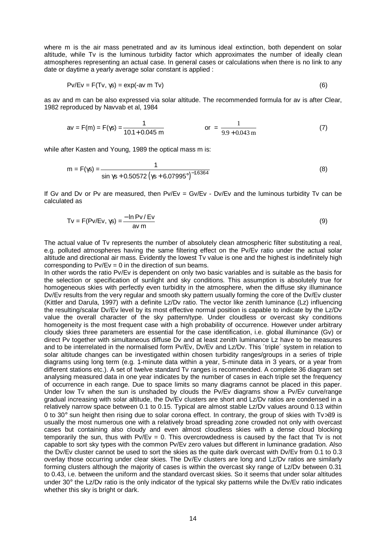where m is the air mass penetrated and av its luminous ideal extinction, both dependent on solar altitude, while Tv is the luminous turbidity factor which approximates the number of ideally clean atmospheres representing an actual case. In general cases or calculations when there is no link to any date or daytime a yearly average solar constant is applied :

$$
PV/Ev = F(Tv, \gamma s) = exp(-av m Tv)
$$
\n(6)

as av and m can be also expressed via solar altitude. The recommended formula for av is after Clear, 1982 reproduced by Navvab et al, 1984

$$
av = F(m) = F(\gamma s) = \frac{1}{10.1 + 0.045 \text{ m}}
$$
 or  $= \frac{1}{9.9 + 0.043 \text{ m}}$  (7)

while after Kasten and Young, 1989 the optical mass m is:

$$
m = F(\gamma s) = \frac{1}{\sin \gamma s + 0.50572 (\gamma s + 6.07995^\circ)^{-1.6364}}
$$
(8)

If Gv and Dv or Pv are measured, then  $Pv/Ev = Gv/Ev - Dv/Ev$  and the luminous turbidity Tv can be calculated as

$$
Tv = F(Pv/Ev, \gamma s) = \frac{-\ln Pv/Ev}{av m}
$$
\n(9)

The actual value of Tv represents the number of absolutely clean atmospheric filter substituting a real, e.g. polluted atmospheres having the same filtering effect on the Pv/Ev ratio under the actual solar altitude and directional air mass. Evidently the lowest Tv value is one and the highest is indefinitely high corresponding to  $Pv/Ev = 0$  in the direction of sun beams.

In other words the ratio Pv/Ev is dependent on only two basic variables and is suitable as the basis for the selection or specification of sunlight and sky conditions. This assumption is absolutely true for homogeneous skies with perfectly even turbidity in the atmosphere, when the diffuse sky illuminance Dv/Ev results from the very regular and smooth sky pattern usually forming the core of the Dv/Ev cluster (Kittler and Darula, 1997) with a definite Lz/Dv ratio. The vector like zenith luminance (Lz) influencing the resulting/scalar Dv/Ev level by its most effective normal position is capable to indicate by the Lz/Dv value the overall character of the sky pattern/type. Under cloudless or overcast sky conditions homogeneity is the most frequent case with a high probability of occurrence. However under arbitrary cloudy skies three parameters are essential for the case identification, i.e. global illuminance (Gv) or direct Pv together with simultaneous diffuse Dv and at least zenith luminance Lz have to be measures and to be interrelated in the normalised form Pv/Ev, Dv/Ev and Lz/Dv. This ´triple´ system in relation to solar altitude changes can be investigated within chosen turbidity ranges/groups in a series of triple diagrams using long term (e.g. 1-minute data within a year, 5-minute data in 3 years, or a year from different stations etc.). A set of twelve standard Tv ranges is recommended. A complete 36 diagram set analysing measured data in one year indicates by the number of cases in each triple set the frequency of occurrence in each range. Due to space limits so many diagrams cannot be placed in this paper. Under low Tv when the sun is unshaded by clouds the Pv/Ev diagrams show a Pv/Ev curve/range gradual increasing with solar altitude, the Dv/Ev clusters are short and Lz/Dv ratios are condensed in a relatively narrow space between 0.1 to 0.15. Typical are almost stable Lz/Dv values around 0.13 within 0 to 30° sun height then rising due to solar corona effect. In contrary, the group of skies with Tv>39 is usually the most numerous one with a relatively broad spreading zone crowded not only with overcast cases but containing also cloudy and even almost cloudless skies with a dense cloud blocking temporarily the sun, thus with  $Pv/Ev = 0$ . This overcrowdedness is caused by the fact that Tv is not capable to sort sky types with the common Pv/Ev zero values but different in luminance gradation. Also the Dv/Ev cluster cannot be used to sort the skies as the quite dark overcast with Dv/Ev from 0.1 to 0.3 overlay those occurring under clear skies. The Dv/Ev clusters are long and Lz/Dv ratios are similarly forming clusters although the majority of cases is within the overcast sky range of Lz/Dv between 0.31 to 0.43, i.e. between the uniform and the standard overcast skies. So it seems that under solar altitudes under 30° the Lz/Dv ratio is the only indicator of the typical sky patterns while the Dv/Ev ratio indicates whether this sky is bright or dark.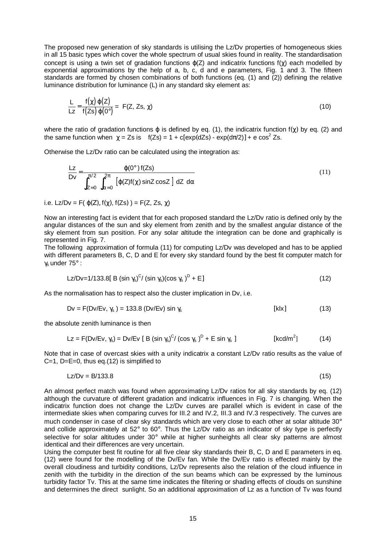The proposed new generation of sky standards is utilising the Lz/Dv properties of homogeneous skies in all 15 basic types which cover the whole spectrum of usual skies found in reality. The standardisation concept is using a twin set of gradation functions  $\varphi$ (Z) and indicatrix functions  $f(\chi)$  each modelled by exponential approximations by the help of a, b, c, d and e parameters, Fig.  $1$  and 3. The fifteen standards are formed by chosen combinations of both functions (eq. (1) and (2)) defining the relative luminance distribution for luminance (L) in any standard sky element as:

$$
\frac{L}{Lz} = \frac{f(\chi) \varphi(Z)}{f(Zs) \varphi(0^\circ)} = F(Z, Zs, \chi)
$$
\n(10)

where the ratio of gradation functions  $\varphi$  is defined by eq. (1), the indicatrix function f( $\chi$ ) by eq. (2) and the same function when  $\chi = Zs$  is  $f(Zs) = 1 + c[exp(dZs) - exp(d\pi/2)] + e cos<sup>2</sup> Zs$ .

Otherwise the Lz/Dv ratio can be calculated using the integration as:

$$
\frac{Lz}{Dv} = \frac{\varphi(0^{\circ})f(Zs)}{\int_{Z=0}^{\pi/2} \int_{\alpha=0}^{2\pi} [\varphi(Z)f(\chi)\sin Z \cos Z] dZ d\alpha}
$$
(11)

i.e. Lz/Dv = F( $\varphi(Z)$ ,  $f(\chi)$ ,  $f(Zs)$ ) = F(Z, Zs,  $\chi$ )

Now an interesting fact is evident that for each proposed standard the Lz/Dv ratio is defined only by the angular distances of the sun and sky element from zenith and by the smallest angular distance of the sky element from sun position. For any solar altitude the integration can be done and graphically is represented in Fig. 7.

The following approximation of formula (11) for computing Lz/Dv was developed and has to be applied with different parameters B, C, D and E for every sky standard found by the best fit computer match for γs under 75° :

$$
Lz/Dv=1/133.8[ B (sin \gamma_s)^C/(sin \gamma_s)(cos \gamma_s)^D + E ]
$$
 (12)

As the normalisation has to respect also the cluster implication in Dv, i.e.

$$
Dv = F(Dv/Ev, \gamma_s) = 133.8 (Dv/Ev) \sin \gamma_s
$$
 [klx] (13)

the absolute zenith luminance is then

$$
Lz = F(Dv/Ev, \gamma_s) = Dv/Ev [B (\sin \gamma_s)^C / (\cos \gamma_s)^D + E \sin \gamma_s ]
$$
 [kcd/m<sup>2</sup>] (14)

Note that in case of overcast skies with a unity indicatrix a constant Lz/Dv ratio results as the value of C=1,  $D=E=0$ , thus eq.(12) is simplified to

$$
Lz/Dv = B/133.8 \tag{15}
$$

An almost perfect match was found when approximating Lz/Dv ratios for all sky standards by eq. (12) although the curvature of different gradation and indicatrix influences in Fig. 7 is changing. When the indicatrix function does not change the Lz/Dv curves are parallel which is evident in case of the intermediate skies when comparing curves for III.2 and IV.2, III.3 and IV.3 respectively. The curves are much condenser in case of clear sky standards which are very close to each other at solar altitude 30° and collide approximately at 52° to 60°. Thus the Lz/Dv ratio as an indicator of sky type is perfectly selective for solar altitudes under 30° while at higher sunheights all clear sky patterns are almost identical and their differences are very uncertain.

Using the computer best fit routine for all five clear sky standards their B, C, D and E parameters in eq. (12) were found for the modelling of the Dv/Ev fan. While the Dv/Ev ratio is effected mainly by the overall cloudiness and turbidity conditions, Lz/Dv represents also the relation of the cloud influence in zenith with the turbidity in the direction of the sun beams which can be expressed by the luminous turbidity factor Tv. This at the same time indicates the filtering or shading effects of clouds on sunshine and determines the direct sunlight. So an additional approximation of Lz as a function of Tv was found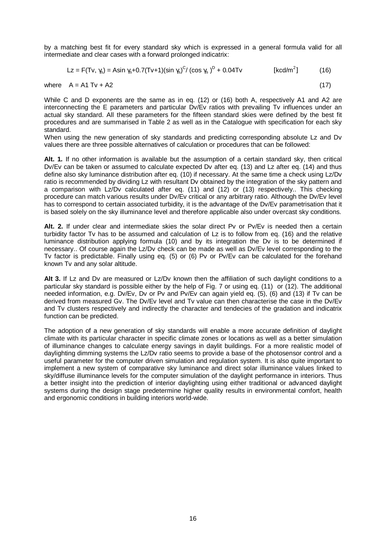by a matching best fit for every standard sky which is expressed in a general formula valid for all intermediate and clear cases with a forward prolonged indicatrix:

$$
Lz = F(Tv, \gamma_s) = Asin \gamma_s + 0.7(Tv + 1)(sin \gamma_s)^{C} / (cos \gamma_s)^{D} + 0.04Tv
$$
 [kcd/m<sup>2</sup>] (16)

where  $A = A1 Tv + A2$  (17)

While C and D exponents are the same as in eq. (12) or (16) both A, respectively A1 and A2 are interconnecting the E parameters and particular Dv/Ev ratios with prevailing Tv influences under an actual sky standard. All these parameters for the fifteen standard skies were defined by the best fit procedures and are summarised in Table 2 as well as in the Catalogue with specification for each sky standard.

When using the new generation of sky standards and predicting corresponding absolute Lz and Dv values there are three possible alternatives of calculation or procedures that can be followed:

**Alt. 1***.* If no other information is available but the assumption of a certain standard sky, then critical Dv/Ev can be taken or assumed to calculate expected Dv after eq. (13) and Lz after eq. (14) and thus define also sky luminance distribution after eq. (10) if necessary. At the same time a check using Lz/Dv ratio is recommended by dividing Lz with resultant Dv obtained by the integration of the sky pattern and a comparison with Lz/Dv calculated after eq. (11) and (12) or (13) respectively.. This checking procedure can match various results under Dv/Ev critical or any arbitrary ratio. Although the Dv/Ev level has to correspond to certain associated turbidity, it is the advantage of the Dv/Ev parametrisation that it is based solely on the sky illuminance level and therefore applicable also under overcast sky conditions.

**Alt. 2.** If under clear and intermediate skies the solar direct Pv or Pv/Ev is needed then a certain turbidity factor Tv has to be assumed and calculation of Lz is to follow from eq. (16) and the relative luminance distribution applying formula (10) and by its integration the Dv is to be determined if necessary.. Of course again the Lz/Dv check can be made as well as Dv/Ev level corresponding to the Tv factor is predictable. Finally using eq. (5) or (6) Pv or Pv/Ev can be calculated for the forehand known Tv and any solar altitude.

**Alt 3.** If Lz and Dv are measured or Lz/Dv known then the affiliation of such daylight conditions to a particular sky standard is possible either by the help of Fig. 7 or using eq. (11) or (12). The additional needed information, e.g. Dv/Ev, Dv or Pv and Pv/Ev can again yield eq. (5), (6) and (13) if Tv can be derived from measured Gv. The Dv/Ev level and Tv value can then characterise the case in the Dv/Ev and Tv clusters respectively and indirectly the character and tendecies of the gradation and indicatrix function can be predicted.

The adoption of a new generation of sky standards will enable a more accurate definition of daylight climate with its particular character in specific climate zones or locations as well as a better simulation of illuminance changes to calculate energy savings in daylit buildings. For a more realistic model of daylighting dimming systems the Lz/Dv ratio seems to provide a base of the photosensor control and a useful parameter for the computer driven simulation and regulation system. It is also quite important to implement a new system of comparative sky luminance and direct solar illuminance values linked to sky/diffuse illuminance levels for the computer simulation of the daylight performance in interiors. Thus a better insight into the prediction of interior daylighting using either traditional or advanced daylight systems during the design stage predetermine higher quality results in environmental comfort, health and ergonomic conditions in building interiors world-wide.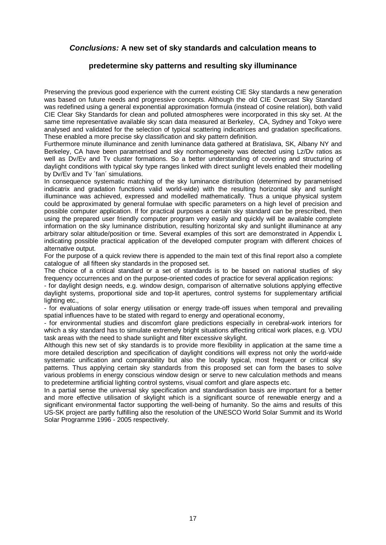#### *Conclusions:* **A new set of sky standards and calculation means to**

#### **predetermine sky patterns and resulting sky illuminance**

Preserving the previous good experience with the current existing CIE Sky standards a new generation was based on future needs and progressive concepts. Although the old CIE Overcast Sky Standard was redefined using a general exponential approximation formula (instead of cosine relation), both valid CIE Clear Sky Standards for clean and polluted atmospheres were incorporated in this sky set. At the same time representative available sky scan data measured at Berkeley, CA, Sydney and Tokyo were analysed and validated for the selection of typical scattering indicatrices and gradation specifications. These enabled a more precise sky classification and sky pattern definition.

Furthermore minute illuminance and zenith luminance data gathered at Bratislava, SK, Albany NY and Berkeley, CA have been parametrised and sky nonhomegeneity was detected using Lz/Dv ratios as well as Dv/Ev and Tv cluster formations. So a better understanding of covering and structuring of daylight conditions with typical sky type ranges linked with direct sunlight levels enabled their modelling by Dv/Ev and Tv ´fan´ simulations.

In consequence systematic matching of the sky luminance distribution (determined by parametrised indicatrix and gradation functions valid world-wide) with the resulting horizontal sky and sunlight illuminance was achieved, expressed and modelled mathematically. Thus a unique physical system could be approximated by general formulae with specific parameters on a high level of precision and possible computer application. If for practical purposes a certain sky standard can be prescribed, then using the prepared user friendly computer program very easily and quickly will be available complete information on the sky luminance distribution, resulting horizontal sky and sunlight illuminance at any arbitrary solar altitude/position or time. Several examples of this sort are demonstrated in Appendix L indicating possible practical application of the developed computer program with different choices of alternative output.

For the purpose of a quick review there is appended to the main text of this final report also a complete catalogue of all fifteen sky standards in the proposed set.

The choice of a critical standard or a set of standards is to be based on national studies of sky frequency occurrences and on the purpose-oriented codes of practice for several application regions:

- for daylight design needs, e.g. window design, comparison of alternative solutions applying effective daylight systems, proportional side and top-lit apertures, control systems for supplementary artificial lighting etc.,

- for evaluations of solar energy utilisation or energy trade-off issues when temporal and prevailing spatial influences have to be stated with regard to energy and operational economy,

- for environmental studies and discomfort glare predictions especially in cerebral-work interiors for which a sky standard has to simulate extremely bright situations affecting critical work places, e.g. VDU task areas with the need to shade sunlight and filter excessive skylight.

Although this new set of sky standards is to provide more flexibility in application at the same time a more detailed description and specification of daylight conditions will express not only the world-wide systematic unification and comparability but also the locally typical, most frequent or critical sky patterns. Thus applying certain sky standards from this proposed set can form the bases to solve various problems in energy conscious window design or serve to new calculation methods and means to predetermine artificial lighting control systems, visual comfort and glare aspects etc.

In a partial sense the universal sky specification and standardisation basis are important for a better and more effective utilisation of skylight which is a significant source of renewable energy and a significant environmental factor supporting the well-being of humanity. So the aims and results of this US-SK project are partly fulfilling also the resolution of the UNESCO World Solar Summit and its World Solar Programme 1996 - 2005 respectively.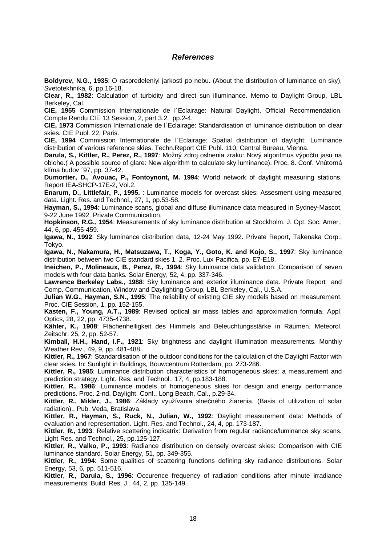#### *References*

**Boldyrev, N.G., 1935**: O raspredeleniyi jarkosti po nebu. (About the distribution of luminance on sky), Svetotekhnika, 6, pp.16-18.

**Clear, R., 1982**: Calculation of turbidity and direct sun illuminance. Memo to Daylight Group, LBL Berkeley, Cal.

**CIE, 1955** Commission Internationale de l´Eclairage: Natural Daylight, Official Recommendation. Compte Rendu CIE 13 Session, 2, part 3.2, pp.2-4.

**CIE, 1973** Commission Internationale de l´Eclairage: Standardisation of luminance distribution on clear skies. CIE Publ. 22, Paris.

**CIE, 1994** Commission Internationale de l´Eclairage: Spatial distribution of daylight: Luminance distribution of various reference skies. Techn.Report CIE Publ. 110, Central Bureau, Vienna.

**Darula, S., Kittler, R., Perez, R., 1997**: Možný zdroj oslnenia zraku: Nový algoritmus výpočtu jasu na oblohe.( A possible source of glare: New algorithm to calculate sky luminance). Proc. 8. Conf. Vnútorná klíma budov ´97, pp. 37-42.

**Dumortier, D., Avouac, P., Fontoynont, M. 1994**: World network of daylight measuring stations. Report IEA-SHCP-17E-2, Vol.2.

**Enarum, D., Littlefair, P., 1995.** : Luminance models for overcast skies: Assesment using measured data. Light. Res. and Technol., 27, 1, pp.53-58.

**Hayman, S., 1994**: Luminance scans, global and diffuse illuminance data measured in Sydney-Mascot, 9-22 June 1992. Private Communication.

**Hopkinson, R.G., 1954**: Measurements of sky luminance distribution at Stockholm. J. Opt. Soc. Amer., 44, 6, pp. 455-459.

**Igawa, N., 1992**: Sky luminance distribution data, 12-24 May 1992. Private Report, Takenaka Corp., Tokyo.

**Igawa, N., Nakamura, H., Matsuzawa, T., Koga, Y., Goto, K. and Kojo, S., 1997**: Sky luminance distribution between two CIE standard skies 1, 2. Proc. Lux Pacifica, pp. E7-E18.

**Ineichen, P., Molineaux, B., Perez, R., 1994**: Sky luminance data validation: Comparison of seven models with four data banks. Solar Energy, 52, 4, pp. 337-346.

**Lawrence Berkeley Labs., 1988**: Sky luminance and exterior illuminance data. Private Report and Comp. Communication, Window and Daylighting Group, LBL Berkeley, Cal., U.S.A.

**Julian W.G., Hayman, S.N., 1995**: The reliability of existing CIE sky models based on measurement. Proc. CIE Session, 1, pp. 152-155.

**Kasten, F., Young, A.T., 1989**: Revised optical air mass tables and approximation formula. Appl. Optics, 28, 22, pp. 4735-4738.

**Kähler, K., 1908**: Flächenhelligkeit des Himmels and Beleuchtungsstärke in Räumen. Meteorol. Zeitschr. 25, 2, pp. 52-57.

**Kimball, H.H., Hand, I.F., 1921**: Sky brightness and daylight illumination measurements. Monthly Weather Rev., 49, 9, pp. 481-488.

**Kittler, R., 1967**: Standardisation of the outdoor conditions for the calculation of the Daylight Factor with clear skies. In: Sunlight in Buildings, Bouwcentrum Rotterdam, pp. 273-286.

**Kittler, R., 1985**: Luminance distribution characteristics of homogeneous skies: a measurement and prediction strategy. Light. Res. and Technol., 17, 4, pp.183-188.

**Kittler, R., 1986**: Luminance models of homogeneous skies for design and energy performance predictions. Proc. 2-nd. Daylight. Conf., Long Beach, Cal., p.29-34.

**Kittler, R., Mikler, J., 1986**: Základy využívania slnečného žiarenia. (Basis of utilization of solar radiation)., Pub. Veda, Bratislava.

**Kittler, R., Hayman, S., Ruck, N., Julian, W., 1992**: Daylight measurement data: Methods of evaluation and representation. Light. Res. and Technol., 24, 4, pp. 173-187.

**Kittler, R., 1993**: Relative scattering indicatrix: Derivation from regular radiance/luminance sky scans. Light Res. and Technol., 25, pp.125-127.

**Kittler, R., Valko, P., 1993**: Radiance distribution on densely overcast skies: Comparison with CIE luminance standard. Solar Energy, 51, pp. 349-355.

**Kittler, R., 1994**: Some qualities of scattering functions defining sky radiance distributions. Solar Energy, 53, 6, pp. 511-516.

**Kittler, R., Darula, S., 1996**: Occurence frequency of radiation conditions after minute irradiance measurements. Build. Res. J., 44, 2, pp. 135-149.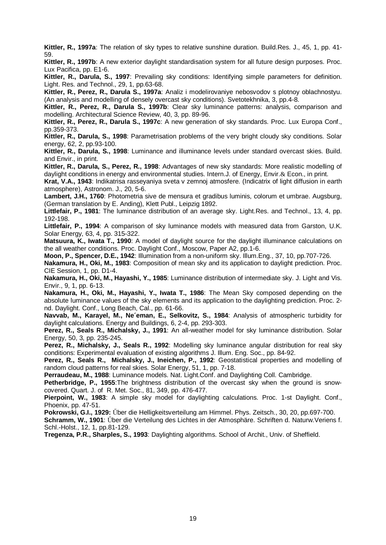**Kittler, R., 1997a**: The relation of sky types to relative sunshine duration. Build.Res. J., 45, 1, pp. 41- 59.

**Kittler, R., 1997b**: A new exterior daylight standardisation system for all future design purposes. Proc. Lux Pacifica, pp. E1-6.

**Kittler, R., Darula, S., 1997**: Prevailing sky conditions: Identifying simple parameters for definition. Light. Res. and Technol., 29, 1, pp.63-68.

**Kittler, R., Perez, R., Darula S., 1997a**: Analiz i modelirovaniye nebosvodov s plotnoy oblachnostyu. (An analysis and modelling of densely overcast sky conditions). Svetotekhnika, 3, pp.4-8.

**Kittler, R., Perez, R., Darula S., 1997b**: Clear sky luminance patterns: analysis, comparison and modelling. Architectural Science Review, 40, 3, pp. 89-96.

**Kittler, R., Perez, R., Darula S., 1997c**: A new generation of sky standards. Proc. Lux Europa Conf., pp.359-373.

**Kittler, R., Darula, S., 1998**: Parametrisation problems of the very bright cloudy sky conditions. Solar energy, 62, 2, pp.93-100.

**Kittler, R., Darula, S., 1998**: Luminance and illuminance levels under standard overcast skies. Build. and Envir., in print.

**Kittler, R., Darula, S., Perez, R., 1998**: Advantages of new sky standards: More realistic modelling of daylight conditions in energy and environmental studies. Intern.J. of Energy, Envir.& Econ., in print.

**Krat, V.A., 1943**: Indikatrisa rasseyaniya sveta v zemnoj atmosfere. (Indicatrix of light diffusion in earth atmosphere), Astronom. J., 20, 5-6.

**Lambert, J.H., 1760**: Photometria sive de mensura et gradibus luminis, colorum et umbrae. Augsburg, (German translation by E. Anding), Klett Publ., Leipzig 1892.

**Littlefair, P., 1981**: The luminance distribution of an average sky. Light.Res. and Technol., 13, 4, pp. 192-198.

**Littlefair, P., 1994**: A comparison of sky luminance models with measured data from Garston, U.K. Solar Energy, 63, 4, pp. 315-322.

**Matsuura, K., Iwata T., 1990**: A model of daylight source for the daylight illuminance calculations on the all weather conditions. Proc. Daylight Conf., Moscow, Paper A2, pp.1-6.

**Moon, P., Spencer, D.E., 1942**: Illumination from a non-uniform sky. Illum.Eng., 37, 10, pp.707-726.

**Nakamura, H., Oki, M., 1983**: Composition of mean sky and its application to daylight prediction. Proc. CIE Session, 1, pp. D1-4.

**Nakamura, H., Oki, M., Hayashi, Y., 1985**: Luminance distribution of intermediate sky. J. Light and Vis. Envir., 9, 1, pp. 6-13.

**Nakamura, H., Oki, M., Hayashi, Y., Iwata T., 1986**: The Mean Sky composed depending on the absolute luminance values of the sky elements and its application to the daylighting prediction. Proc. 2 nd. Daylight. Conf., Long Beach, Cal., pp. 61-66.

**Navvab, M., Karayel, M., Ne´eman, E., Selkovitz, S., 1984**: Analysis of atmospheric turbidity for daylight calculations. Energy and Buildings, 6, 2-4, pp. 293-303.

**Perez, R., Seals R., Michalsky, J., 1991**: An all-weather model for sky luminance distribution. Solar Energy, 50, 3, pp. 235-245.

**Perez, R., Michalsky, J., Seals R., 1992**: Modelling sky luminance angular distribution for real sky conditions: Experimental evaluation of existing algorithms J. Illum. Eng. Soc., pp. 84-92.

**Perez, R., Seals R., Michalsky, J., Ineichen, P., 1992**: Geostatistical properties and modelling of random cloud patterns for real skies. Solar Energy, 51, 1, pp. 7-18.

**Perraudeau, M., 1988**: Luminance models. Nat. Light.Conf. and Daylighting Coll. Cambridge.

**Petherbridge, P., 1955**:The brightness distribution of the overcast sky when the ground is snowcovered. Quart. J. of R. Met. Soc., 81, 349, pp. 476-477.

**Pierpoint, W., 1983**: A simple sky model for daylighting calculations. Proc. 1-st Daylight. Conf., Phoenix, pp. 47-51.

**Pokrowski, G.I., 1929:** Űber die Helligkeitsverteilung am Himmel. Phys. Zeitsch., 30, 20, pp.697-700.

**Schramm, W., 1901**: Űber die Verteilung des Lichtes in der Atmosphäre. Schriften d. Naturw.Veriens f. Schl.-Holst., 12, 1, pp.81-129.

**Tregenza, P.R., Sharples, S., 1993**: Daylighting algorithms. School of Archit., Univ. of Sheffield.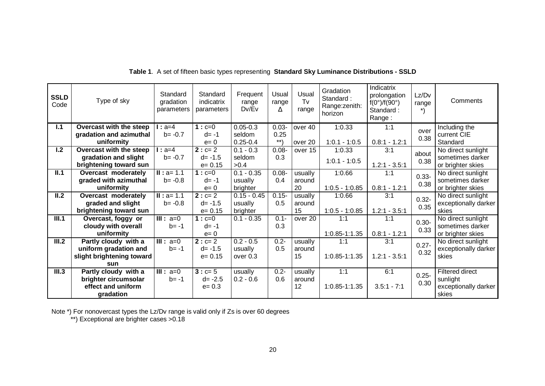| <b>SSLD</b><br>Code        | Type of sky               | Standard<br>gradation<br>parameters | Standard<br>indicatrix<br>parameters | Frequent<br>range<br>Dv/Ev | Usual<br>range<br>Δ | Usual<br>Tv<br>range | Gradation<br>Standard:<br>Range: zenith:<br>horizon | Indicatrix<br>prolongation<br>$f(0^\circ)/f(90^\circ)$<br>Standard:<br>Range: | Lz/Dv<br>range | Comments               |
|----------------------------|---------------------------|-------------------------------------|--------------------------------------|----------------------------|---------------------|----------------------|-----------------------------------------------------|-------------------------------------------------------------------------------|----------------|------------------------|
| 1.1                        | Overcast with the steep   | $1: a=4$                            | $1: c = 0$                           | $0.05 - 0.3$               | $0.03 -$            | over 40              | 1:0.33                                              | 1:1                                                                           | over           | Including the          |
|                            | gradation and azimuthal   | $b = -0.7$                          | $d = -1$                             | seldom                     | 0.25                |                      |                                                     |                                                                               | 0.38           | current CIE            |
|                            | uniformity                |                                     | $e=0$                                | $0.25 - 0.4$               | $***$               | over 20              | $1:0.1 - 1:0.5$                                     | $0.8:1 - 1.2:1$                                                               |                | Standard               |
| 1.2                        | Overcast with the steep   | $1: a=4$                            | $2: c = 2$                           | $0.1 - 0.3$                | $0.08 -$            | over 15              | 1:0.33                                              | 3:1                                                                           | about          | No direct sunlight     |
|                            | gradation and slight      | $b = -0.7$                          | $d = -1.5$                           | seldom                     | 0.3                 |                      | $1:0.1 - 1:0.5$                                     |                                                                               | 0.38           | sometimes darker       |
|                            | brightening toward sun    |                                     | $e = 0.15$                           | >0.4                       |                     |                      |                                                     | $1.2:1 - 3.5:1$                                                               |                | or brighter skies      |
| II.1                       | Overcast moderately       | $II : a = 1.1$                      | $1: c = 0$                           | $0.1 - 0.35$               | $0.08 -$            | usually              | 1:0.66                                              | 1:1                                                                           | $0.33 -$       | No direct sunlight     |
|                            | graded with azimuthal     | $b = -0.8$                          | $d = -1$                             | usually                    | 0.4                 | around               |                                                     |                                                                               | 0.38           | sometimes darker       |
|                            | uniformity                |                                     | $e=0$                                | brighter                   |                     | 20                   | $1:0.5 - 1:0.85$                                    | $0.8:1 - 1.2:1$                                                               |                | or brighter skies      |
| $\overline{\mathsf{II}.2}$ | Overcast moderately       | $II : a = 1.1$                      | $2: c = 2$                           | $0.15 - 0.45$              | $0.15 -$            | usually              | 1:0.66                                              | 3:1                                                                           | $0.32 -$       | No direct sunlight     |
|                            | graded and slight         | $b = -0.8$                          | $d = -1.5$                           | usually                    | 0.5                 | around               |                                                     |                                                                               | 0.35           | exceptionally darker   |
|                            | brightening toward sun    |                                     | $e = 0.15$                           | brighter                   |                     | 15                   | $1:0.5 - 1:0.85$                                    | $1.2:1 - 3.5:1$                                                               |                | skies                  |
| III.1                      | Overcast, foggy or        | $\overline{\mathsf{III}}$ : a=0     | $1: c = 0$                           | $0.1 - 0.35$               | $0.1 -$             | over 20              | 1:1                                                 | 1:1                                                                           | $0.30 -$       | No direct sunlight     |
|                            | cloudy with overall       | $b = -1$                            | $d = -1$                             |                            | 0.3                 |                      |                                                     |                                                                               | 0.33           | sometimes darker       |
|                            | uniformity                |                                     | $e=0$                                |                            |                     |                      | $1:0.85 - 1:1.35$                                   | $0.8:1 - 1.2:1$                                                               |                | or brighter skies      |
| III.2                      | Partly cloudy with a      | $III: a=0$                          | $2: c = 2$                           | $0.2 - 0.5$                | $0.2 -$             | usually              | 1:1                                                 | 3:1                                                                           | $0.27 -$       | No direct sunlight     |
|                            | uniform gradation and     | $b = -1$                            | $d = -1.5$                           | usually                    | 0.5                 | around               |                                                     |                                                                               | 0.32           | exceptionally darker   |
|                            | slight brightening toward |                                     | $e = 0.15$                           | over 0.3                   |                     | 15                   | 1:0.85-1:1.35                                       | $1.2:1 - 3.5:1$                                                               |                | skies                  |
|                            | sun                       |                                     |                                      |                            |                     |                      |                                                     |                                                                               |                |                        |
| III.3                      | Partly cloudy with a      | $III: a=0$                          | $3: c = 5$                           | usually                    | $0.2 -$             | usually              | 1:1                                                 | 6:1                                                                           | $0.25 -$       | <b>Filtered direct</b> |
|                            | brighter circumsolar      | $b = -1$                            | $d = -2.5$                           | $0.2 - 0.6$                | 0.6                 | around               |                                                     |                                                                               | 0.30           | sunlight               |
|                            | effect and uniform        |                                     | $e = 0.3$                            |                            |                     | 12                   | 1:0.85-1:1.35                                       | $3.5:1 - 7:1$                                                                 |                | exceptionally darker   |
|                            | gradation                 |                                     |                                      |                            |                     |                      |                                                     |                                                                               |                | skies                  |

**Table 1**. A set of fifteen basic types representing **Standard Sky Luminance Distributions - SSLD**

Note \*) For nonovercast types the Lz/Dv range is valid only if Zs is over 60 degrees

\*\*) Exceptional are brighter cases >0.18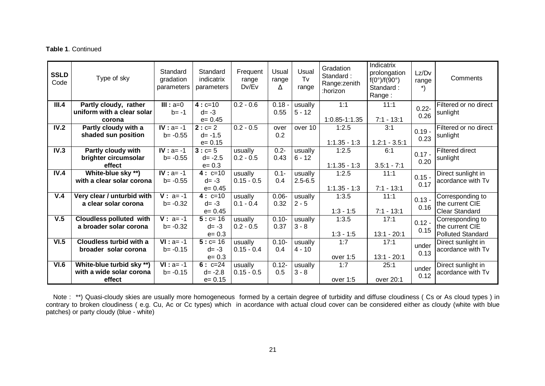#### **Table 1**. Continued

| <b>SSLD</b><br>Code | Type of sky                                         | Standard<br>gradation<br>parameters | Standard<br>indicatrix<br>parameters | Frequent<br>range<br>Dv/Ev | Usual<br>range<br>Δ | Usual<br>Tv<br>range | Gradation<br>Standard:<br>Range: zenith<br>:horizon | Indicatrix<br>prolongation<br>$f(0^{\circ})/f(90^{\circ})$<br>Standard:<br>Range: | Lz/Dv<br>range   | Comments                          |
|---------------------|-----------------------------------------------------|-------------------------------------|--------------------------------------|----------------------------|---------------------|----------------------|-----------------------------------------------------|-----------------------------------------------------------------------------------|------------------|-----------------------------------|
| III.4               | Partly cloudy, rather<br>uniform with a clear solar | $III: a=0$<br>$b = -1$              | $4: c=10$<br>$d = -3$                | $0.2 - 0.6$                | $0.18 -$<br>0.55    | usually<br>$5 - 12$  | 1:1                                                 | 11:1                                                                              | $0.22 -$<br>0.26 | Filtered or no direct<br>sunlight |
|                     | corona                                              |                                     | $e = 0.45$                           |                            |                     |                      | 1:0.85-1:1.35                                       | $7:1 - 13:1$                                                                      |                  |                                   |
| IV.2                | Partly cloudy with a                                | $IV : a = -1$                       | $2: c = 2$                           | $0.2 - 0.5$                | over                | over 10              | 1:2.5                                               | 3:1                                                                               | $0.19 -$         | Filtered or no direct             |
|                     | shaded sun position                                 | $b = -0.55$                         | $d = -1.5$                           |                            | 0.2                 |                      |                                                     |                                                                                   | 0.23             | sunlight                          |
|                     |                                                     |                                     | $e = 0.15$                           |                            |                     |                      | $1:1.35 - 1:3$                                      | $1.2:1 - 3.5:1$                                                                   |                  |                                   |
| IV.3                | Partly cloudy with                                  | $IV : a = -1$                       | $3: c = 5$                           | usually                    | $0.2 -$             | usually              | 1:2.5                                               | 6:1                                                                               | $0.17 -$         | <b>Filtered direct</b>            |
|                     | brighter circumsolar                                | $b = -0.55$                         | $d = -2.5$                           | $0.2 - 0.5$                | 0.43                | $6 - 12$             |                                                     |                                                                                   | 0.20             | sunlight                          |
|                     | effect                                              |                                     | $e = 0.3$                            |                            |                     |                      | $1:1.35 - 1:3$                                      | $3.5:1 - 7:1$                                                                     |                  |                                   |
| IV.4                | White-blue sky **)                                  | $IV : a = -1$                       | $4: c=10$                            | usually                    | $0.1 -$             | usually              | 1:2.5                                               | 11:1                                                                              | $0.15 -$         | Direct sunlight in                |
|                     | with a clear solar corona                           | $b = -0.55$                         | $d = -3$                             | $0.15 - 0.5$               | 0.4                 | $2.5 - 6.5$          |                                                     |                                                                                   | 0.17             | acordance with Tv                 |
|                     |                                                     |                                     | $e = 0.45$                           |                            |                     |                      | $1:1.35 - 1:3$                                      | $7:1 - 13:1$                                                                      |                  |                                   |
| V.4                 | Very clear / unturbid with                          | $V: a = -1$                         | $4: c=10$                            | usually                    | $0.06 -$            | usually              | 1:3.5                                               | 11:1                                                                              | $0.13 -$         | Corresponding to                  |
|                     | a clear solar corona                                | $b = -0.32$                         | $d = -3$                             | $0.1 - 0.4$                | 0.32                | $2 - 5$              |                                                     |                                                                                   | 0.16             | the current CIE                   |
|                     |                                                     |                                     | $e = 0.45$                           |                            |                     |                      | $1:3 - 1:5$                                         | $7:1 - 13:1$                                                                      |                  | <b>Clear Standard</b>             |
| V.5                 | <b>Cloudless polluted with</b>                      | $V: a = -1$                         | $5: c=16$                            | usually                    | $0.10 -$            | usually              | 1:3.5                                               | 17:1                                                                              | $0.12 -$         | Corresponding to                  |
|                     | a broader solar corona                              | $b = -0.32$                         | $d = -3$                             | $0.2 - 0.5$                | 0.37                | $3 - 8$              |                                                     |                                                                                   | 0.15             | the current CIE                   |
|                     |                                                     |                                     | $e = 0.3$                            |                            |                     |                      | $1:3 - 1:5$                                         | $13:1 - 20:1$                                                                     |                  | Polluted Standard                 |
| VI.5                | Cloudless turbid with a                             | $VI : a = -1$                       | $5: c = 16$                          | usually                    | $0.10 -$            | usually              | 1:7                                                 | 17:1                                                                              | under            | Direct sunlight in                |
|                     | broader solar corona                                | $b = -0.15$                         | $d = -3$                             | $0.15 - 0.4$               | 0.4                 | $4 - 10$             |                                                     |                                                                                   | 0.13             | acordance with Tv                 |
|                     |                                                     |                                     | $e = 0.3$                            |                            |                     |                      | over 1:5                                            | $13:1 - 20:1$                                                                     |                  |                                   |
| VI.6                | White-blue turbid sky **)                           | $VI : a = -1$                       | $6: c=24$                            | usually                    | $0.12 -$            | usually              | 1:7                                                 | 25:1                                                                              | under            | Direct sunlight in                |
|                     | with a wide solar corona                            | $b = -0.15$                         | $d = -2.8$                           | $0.15 - 0.5$               | 0.5                 | $3 - 8$              |                                                     |                                                                                   | 0.12             | acordance with Tv                 |
|                     | effect                                              |                                     | $e = 0.15$                           |                            |                     |                      | over 1:5                                            | over 20:1                                                                         |                  |                                   |

Note : \*\*) Quasi-cloudy skies are usually more homogeneous formed by a certain degree of turbidity and diffuse cloudiness ( Cs or As cloud types ) in contrary to broken cloudiness ( e.g. Cu, Ac or Cc types) which in acordance with actual cloud cover can be considered either as cloudy (white with blue patches) or party cloudy (blue - white)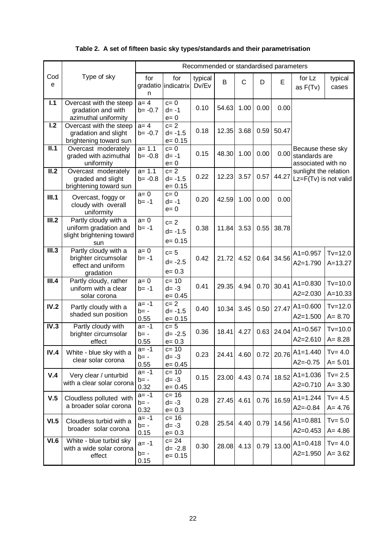|  |  | Table 2. A set of fifteen basic sky types/standards and their parametrisation |  |  |
|--|--|-------------------------------------------------------------------------------|--|--|
|--|--|-------------------------------------------------------------------------------|--|--|

|                            |                                                                                   |                          |                                      | Recommended or standardised parameters |       |      |      |       |                                                          |                            |
|----------------------------|-----------------------------------------------------------------------------------|--------------------------|--------------------------------------|----------------------------------------|-------|------|------|-------|----------------------------------------------------------|----------------------------|
| Cod<br>e                   | Type of sky                                                                       | for<br>n                 | for<br>gradatio indicatrix           | typical<br>Dv/Ev                       | B     | C    | D    | E     | for Lz<br>as $F(Tv)$                                     | typical<br>cases           |
| $\overline{1.1}$           | Overcast with the steep<br>gradation and with<br>azimuthal uniformity             | $a = 4$<br>$b = -0.7$    | $c=0$<br>$d = -1$<br>$e = 0$         | 0.10                                   | 54.63 | 1.00 | 0.00 | 0.00  |                                                          |                            |
| $\overline{1.2}$           | Overcast with the steep<br>gradation and slight<br>brightening toward sun         | $a = 4$<br>$b = -0.7$    | $c=2$<br>$d = -1.5$<br>$e = 0.15$    | 0.18                                   | 12.35 | 3.68 | 0.59 | 50.47 |                                                          |                            |
| II.1                       | Overcast moderately<br>graded with azimuthal<br>uniformity                        | $a = 1.1$<br>$b = -0.8$  | $c = 0$<br>$d = -1$<br>$e = 0$       | 0.15                                   | 48.30 | 1.00 | 0.00 | 0.00  | Because these sky<br>standards are<br>associated with no |                            |
| $\overline{\mathsf{II}.2}$ | Overcast moderately<br>graded and slight<br>brightening toward sun                | $a = 1.1$<br>$b = -0.8$  | $c=2$<br>$d = -1.5$<br>$e = 0.15$    | 0.22                                   | 12.23 | 3.57 | 0.57 | 44.27 | sunlight the relation<br>Lz=F(Tv) is not valid           |                            |
| III.1                      | Overcast, foggy or<br>cloudy with overall<br>uniformity                           | $a=0$<br>b= -1           | $c=0$<br>$d = -1$<br>$e = 0$         | 0.20                                   | 42.59 | 1.00 | 0.00 | 0.00  |                                                          |                            |
| III.2                      | Partly cloudy with a<br>uniform gradation and<br>slight brightening toward<br>sun | $a = 0$<br>$b = -1$      | $c=2$<br>$d = -1.5$<br>$e = 0.15$    | 0.38                                   | 11.84 | 3.53 | 0.55 | 38.78 |                                                          |                            |
| III.3                      | Partly cloudy with a<br>brighter circumsolar<br>effect and uniform<br>gradation   | $a=0$<br>b= -1           | $c=5$<br>$d = -2.5$<br>$e = 0.3$     | 0.42                                   | 21.72 | 4.52 | 0.64 | 34.56 | $A1 = 0.957$<br>$A2 = 1.790$                             | $Tv = 12.0$<br>$A = 13.27$ |
| III.4                      | Partly cloudy, rather<br>uniform with a clear<br>solar corona                     | $a = 0$<br>b= -1         | $c = 10$<br>$d = -3$<br>$e = 0.45$   | 0.41                                   | 29.35 | 4.94 | 0.70 | 30.41 | $A1 = 0.830$<br>$A2 = 2.030$                             | $Tv=10.0$<br>$A = 10.33$   |
| IV.2                       | Partly cloudy with a<br>shaded sun position                                       | $a = -1$<br>b= -<br>0.55 | $c=2$<br>$d = -1.5$<br>$e = 0.15$    | 0.40                                   | 10.34 | 3.45 | 0.50 | 27.47 | $A1 = 0.600$<br>$A2 = 1.500$                             | $Tv=12.0$<br>$A = 8.70$    |
| IV.3                       | Partly cloudy with<br>brighter circumsolar<br>effect                              | $a = -1$<br>b= -<br>0.55 | $c=5$<br>$d = -2.5$<br>$e = 0.3$     | 0.36                                   | 18.41 | 4.27 | 0.63 | 24.04 | $A1 = 0.567$<br>$A2 = 2.610$                             | $Tv=10.0$<br>$A = 8.28$    |
| IV.4                       | White - blue sky with a<br>clear solar corona                                     | $a = -1$<br>b= -<br>0.55 | $c=10$<br>$d = -3$<br>$e = 0.45$     | 0.23                                   | 24.41 | 4.60 | 0.72 |       | 20.76 A1=1.440<br>$A2 = -0.75$                           | $Tv = 4.0$<br>$A = 5.01$   |
| V.4                        | Very clear / unturbid<br>with a clear solar corona                                | a= -1<br>$b = -$<br>0.32 | $c = 10$<br>$d = -3$<br>$e = 0.45$   | 0.15                                   | 23.00 | 4.43 | 0.74 | 18.52 | $A1 = 1.036$<br>$A2=0.710$                               | $Tv = 2.5$<br>$A = 3.30$   |
| V.5                        | Cloudless polluted with<br>a broader solar corona                                 | a= -1<br>b= -<br>0.32    | $c = 16$<br>$d = -3$<br>$e = 0.3$    | 0.28                                   | 27.45 | 4.61 | 0.76 | 16.59 | $A1 = 1.244$<br>$A2 = -0.84$                             | $Tv = 4.5$<br>$A = 4.76$   |
| VI.5                       | Cloudless turbid with a<br>broader solar corona                                   | a= -1<br>$b = -$<br>0.15 | $c = 16$<br>$d = -3$<br>$e = 0.3$    | 0.28                                   | 25.54 | 4.40 | 0.79 | 14.56 | $A1 = 0.881$<br>$A2 = 0.453$                             | $Tv = 5.0$<br>$A = 4.86$   |
| VI.6                       | White - blue turbid sky<br>with a wide solar corona<br>effect                     | a= -1<br>$b = -$<br>0.15 | $c = 24$<br>$d = -2.8$<br>$e = 0.15$ | 0.30                                   | 28.08 | 4.13 | 0.79 | 13.00 | $A1 = 0.418$<br>$A2 = 1.950$                             | $Tv = 4.0$<br>$A = 3.62$   |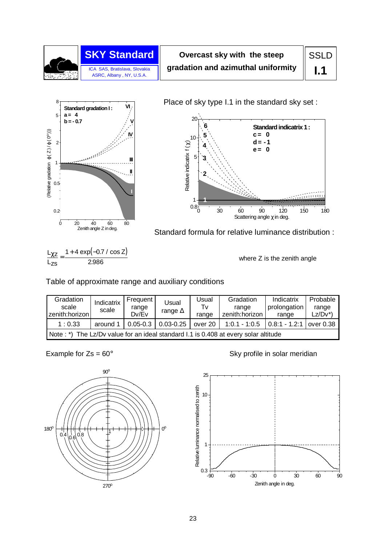



Place of sky type I.1 in the standard sky set :



Zenith angle Z in deg. Standard formula for relative luminance distribution :

 $L_{\chi Z}$   $_{-}$  1 + 4 exp(-0.7 / cos Z)  $L_{7S}$  $\frac{L_{\chi z}}{Z}$  = 2.986

where Z is the zenith angle

Table of approximate range and auxiliary conditions

| Gradation<br>scale<br>zenith:horizon | Indicatrix<br>scale                                                                 | Frequent<br>range<br>Dv/Ev | Usual<br>range $\Delta$ | Usual<br>Tv<br>range | Gradation<br>range<br>zenith:horizon | Indicatrix<br>prolongation<br>range | Probable<br>range<br>Lz/Dv*) |  |  |  |  |
|--------------------------------------|-------------------------------------------------------------------------------------|----------------------------|-------------------------|----------------------|--------------------------------------|-------------------------------------|------------------------------|--|--|--|--|
| 1:0.33                               | around 1                                                                            | $0.05 - 0.3$               | $0.03 - 0.25$           | over 20 $ $          | $1:0.1 - 1:0.5$                      | $\vert$ 0.8:1 - 1.2:1               | over 0.38                    |  |  |  |  |
|                                      | Note: *) The Lz/Dv value for an ideal standard I.1 is 0.408 at every solar altitude |                            |                         |                      |                                      |                                     |                              |  |  |  |  |



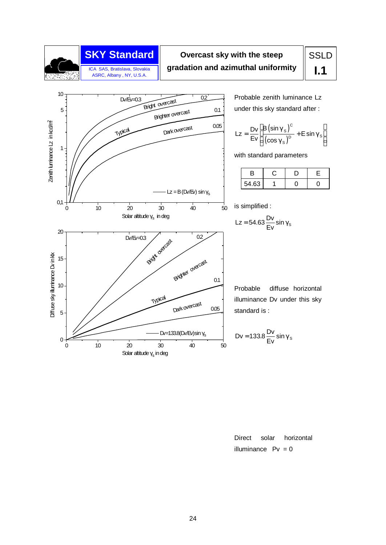

## **Overcast sky with the steep gradation and azimuthal uniformity**

# SSLD **I.1**



Probable zenith luminance Lz under this sky standard after :

$$
Lz = \frac{Dv}{Ev} \left[ \frac{B(\sin \gamma_s)^c}{(\cos \gamma_s)^D} + E \sin \gamma_s \right]
$$

with standard parameters

| J.    |  |  |
|-------|--|--|
| 54.63 |  |  |

is simplified :

$$
Lz = 54.63 \frac{Dv}{Ev} \sin \gamma_s
$$

Probable diffuse horizontal illuminance Dv under this sky standard is :

$$
Dv = 133.8 \frac{Dv}{Ev} \sin \gamma_s
$$

Direct solar horizontal illuminance  $Pv = 0$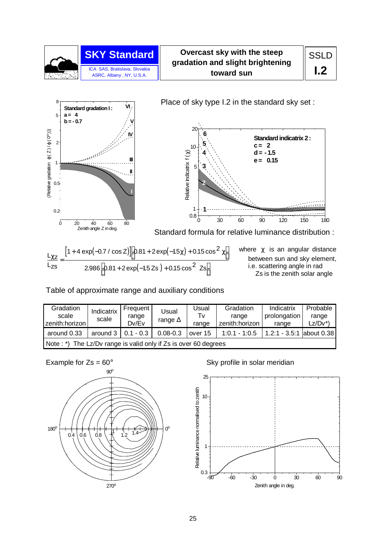

**Overcast sky with the steep gradation and slight brightening toward sun** 



Place of sky type I.2 in the standard sky set :



 $[1 + 4 \exp(-0.7 / \cos Z)]$  0.81 + 2 exp(-1.5 $\chi$ ) (–1.5 Zs)  $L_{\chi z}$  $L_{\text{zs}}$ Z Zs  $+0.15 \cos^2 2s$ χ + 4 exp(-0.7 / cos Z)]  $[$  0.81 + 2 exp(-1.5χ) + 0.15 cos<sup>2</sup> χ =  $\overline{\phantom{a}}$ J  $\left[ 0.81 + 2 \exp(-1.5 Zs) + \right]$  $\overline{\phantom{a}}$ J 1 + 4  $\exp(-0.7 / \cos Z)$  0.81 + 2  $\exp(-1.5 \chi)$  + 0.15  $\cos^2$  $2.986\sqrt{0.81 + 2\exp(-1.57)}$  0.15  $\cos^2$  $\exp(-0.7 / \cos Z)$  0.81 + 2  $\exp(-1.5\chi)$  + 0.15 cos .986  $0.81 + 2\exp(-1.5\,Zs\,)+0.15\cos$ 

where  $\chi$  is an angular distance between sun and sky element, i.e. scattering angle in rad Zs is the zenith solar angle

Table of approximate range and auxiliary conditions

| Gradation<br>scale<br>zenith:horizon | Indicatrix<br>scale                                             | Frequent<br>range<br>Dv/Ev | Usual<br>range $\Delta$ | Jsual<br>Tv<br>range | Gradation<br>range<br>zenith: horizon | Indicatrix<br>prolongation<br>range | Probable<br>range<br>Lz/Dv*` |  |  |  |  |
|--------------------------------------|-----------------------------------------------------------------|----------------------------|-------------------------|----------------------|---------------------------------------|-------------------------------------|------------------------------|--|--|--|--|
| around 0.33                          | around $3 \mid 0.1 - 0.3$                                       |                            | $0.08 - 0.3$            | over 15              | $1:0.1 - 1:0.5$                       | 1.2:1 - 3.5:1 about 0.38            |                              |  |  |  |  |
|                                      | Note: *) The Lz/Dv range is valid only if Zs is over 60 degrees |                            |                         |                      |                                       |                                     |                              |  |  |  |  |



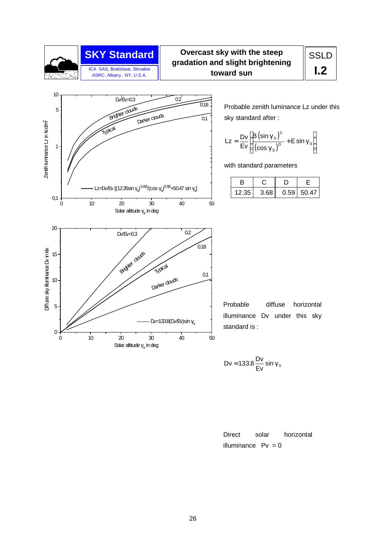

#### **SKY Standard Overcast sky with the steep gradation and slight brightening toward sun**



Probable zenith luminance Lz under this sky standard after :

$$
Lz = \frac{Dv}{Ev} \left[ \frac{B(\sin \gamma_s)^c}{(\cos \gamma_s)^D} + E \sin \gamma_s \right]
$$

with standard parameters

| B         |      |              |
|-----------|------|--------------|
| $12.35 +$ | 3.68 | $0.59$ 50.47 |

Probable diffuse horizontal illuminance Dv under this sky standard is :

$$
Dv = 133.8 \frac{Dv}{Ev} \sin \gamma_s
$$

$$
Direct \t solar \t horizontal
$$
\n
$$
illuminance \t PV = 0
$$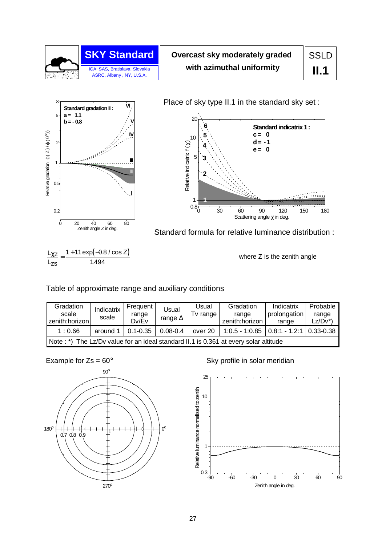

# **Overcast sky moderately graded with azimuthal uniformity**

**SSLD II.1**



Place of sky type II.1 in the standard sky set :



Zenith angle Z in deg. Standard formula for relative luminance distribution :

 $\frac{L_{\chi z}}{L_{\chi z}} = \frac{1 + 1.1 \exp(-0.8 / \cos z)}{1.18 \times 10^{-4} \text{ s}}$  $L_{7S}$ 1494 .

where Z is the zenith angle

Table of approximate range and auxiliary conditions

| Gradation<br>scale<br>zenith:horizon l | Indicatrix<br>scale                                                         | Frequent<br>range<br>Dv/Ev | Usual<br>range $\Delta$ | Usual<br>Tv range | Gradation<br>range<br>zenith: horizon        | Indicatrix<br>prolongation<br>range | Probable<br>range<br>$Lz/Dv^*$ |  |  |  |  |
|----------------------------------------|-----------------------------------------------------------------------------|----------------------------|-------------------------|-------------------|----------------------------------------------|-------------------------------------|--------------------------------|--|--|--|--|
| 1:0.66                                 | around 1                                                                    | $0.1 - 0.35$               | $0.08 - 0.4$            | over 20           | $1:0.5 - 1:0.85$   0.8:1 - 1.2:1   0.33-0.38 |                                     |                                |  |  |  |  |
| $Note:*)$                              | The Lz/Dv value for an ideal standard II.1 is 0.361 at every solar altitude |                            |                         |                   |                                              |                                     |                                |  |  |  |  |



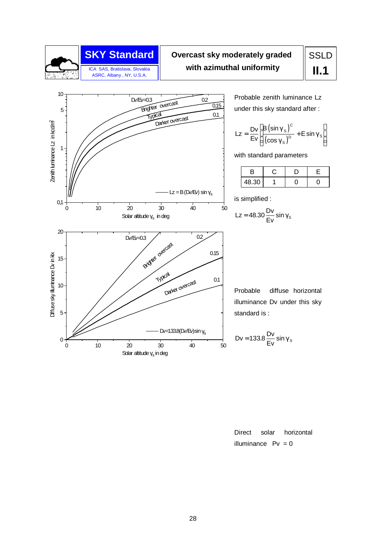

## **SKY Standard Overcast sky moderately graded with azimuthal uniformity**

# SSLD **II.1**



Probable zenith luminance Lz under this sky standard after :

$$
Lz = \frac{Dv}{Ev} \left[ \frac{B(\sin \gamma_s)^c}{(\cos \gamma_s)^D} + E \sin \gamma_s \right]
$$

with standard parameters

| 48.30 |  |  |
|-------|--|--|

is simplified :

$$
Lz = 48.30 \frac{Dv}{Ev} \sin \gamma_s
$$

Probable diffuse horizontal illuminance Dv under this sky standard is :

$$
Dv = 133.8 \frac{Dv}{Ev} \sin \gamma_s
$$

Direct solar horizontal illuminance  $Pv = 0$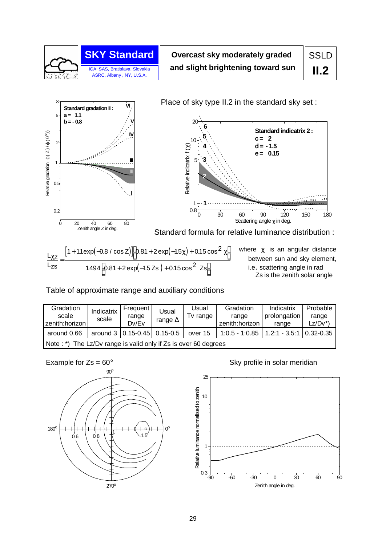

**Overcast sky moderately graded and slight brightening toward sun**  **SSLD II.2**





 $[1 + 1.1 \exp(-0.8 / \cos Z)]$   $[0.81 + 2 \exp(-1.5 \chi) + 0.15 \cos^2 \chi$  $\left[ 0.81 + 2 \exp(-1.5 \text{ Zs}) + 0.15 \cos^2 \text{ Zs} \right]$  $L_{\chi z}$  $L_{\text{zs}}$ χ =  $\overline{\phantom{a}}$ 1 + 1.1 exp(-0.8 / cos Z)]  $[0.81 + 2 \exp(-1.5 \chi) + 0.15 \cos^2 \chi]$  $\overline{\phantom{a}}$  $1.494 \left[ 0.81 + 2 \exp(-1.5 \text{ Zs}) + 0.15 \cos^2 2 \text{ s} \right]$ 

where  $\chi$  is an angular distance between sun and sky element, i.e. scattering angle in rad Zs is the zenith solar angle

Table of approximate range and auxiliary conditions

| Gradation<br>scale<br>zenith:horizon | Indicatrix<br>scale                                             | Frequent<br>range<br>Dv/Ev      | Usual<br>range $\Delta$ | Usual<br>Tv range | Gradation<br>range<br>zenith:horizon | Indicatrix<br>prolongation<br>range | Probable<br>range<br>Lz/Dv*) |  |  |  |  |
|--------------------------------------|-----------------------------------------------------------------|---------------------------------|-------------------------|-------------------|--------------------------------------|-------------------------------------|------------------------------|--|--|--|--|
| around 0.66                          |                                                                 | around 3   0.15-0.45   0.15-0.5 |                         | over 15           | $1:0.5 - 1:0.85$                     | $1.2:1 - 3.5:1$                     | $10.32 - 0.35$               |  |  |  |  |
|                                      | Note: *) The Lz/Dv range is valid only if Zs is over 60 degrees |                                 |                         |                   |                                      |                                     |                              |  |  |  |  |



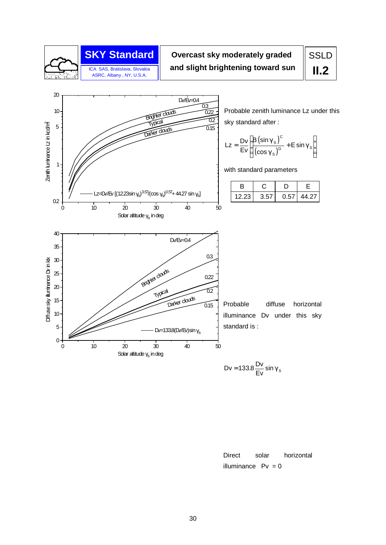

# **SKY Standard Overcast sky moderately graded and slight brightening toward sun**

# SSLD **II.2**



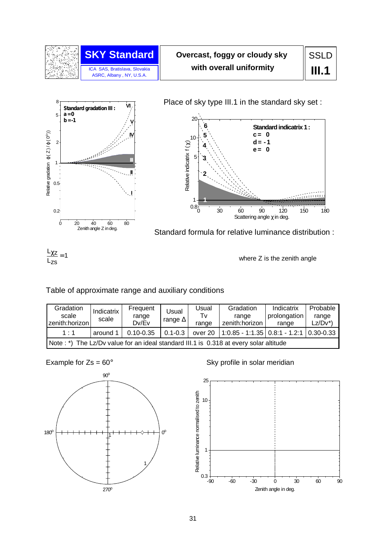

# **Overcast, foggy or cloudy sky with overall uniformity**



Place of sky type III.1 in the standard sky set :



Zenith angle Z in deg. Standard formula for relative luminance distribution :

 $L_{\chi z}$ Lzs  $\frac{\chi z}{\chi} = 1$ 

where Z is the zenith angle

#### Table of approximate range and auxiliary conditions

| Gradation<br>scale<br>zenith:horizon l | Indicatrix<br>scale                                                                    | Frequent<br>range<br>Dv/Ev | Usual<br>range $\Delta$ | Usual<br>Tv<br>range | Gradation<br>range<br>zenith: horizon                 | Indicatrix<br>prolongation<br>range | Probable<br>range<br>$Lz/Dv^*$ |  |  |  |  |
|----------------------------------------|----------------------------------------------------------------------------------------|----------------------------|-------------------------|----------------------|-------------------------------------------------------|-------------------------------------|--------------------------------|--|--|--|--|
| 1:1                                    | around 1                                                                               | $0.10 - 0.35$              | $0.1 - 0.3$             |                      | over 20   1:0.85 - 1:1.35   0.8:1 - 1.2:1   0.30-0.33 |                                     |                                |  |  |  |  |
|                                        | Note : *) The Lz/Dv value for an ideal standard III.1 is 0.318 at every solar altitude |                            |                         |                      |                                                       |                                     |                                |  |  |  |  |



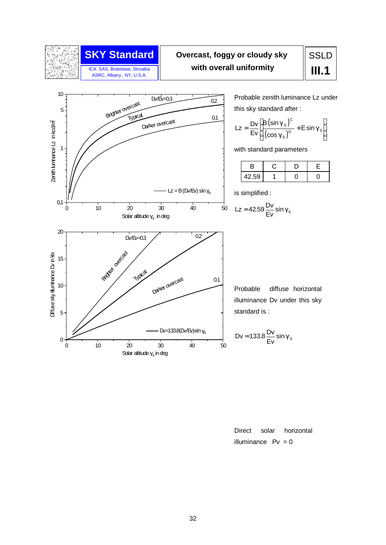

ICA SAS, Bratislava, Slovakia ASRC, Albany , NY, U.S.A.

# **SKY Standard Overcast, foggy or cloudy sky with overall uniformity**

# SSLD **III.1**



Probable zenith luminance Lz under this sky standard after :

$$
Lz = \frac{Dv}{Ev} \left[ \frac{B(\sin \gamma_s)^c}{(\cos \gamma_s)^D} + E \sin \gamma_s \right]
$$

with standard parameters

|       |  | - |
|-------|--|---|
| 42.59 |  |   |

is simplified :

$$
Lz = 42.59 \frac{Dv}{Ev} \sin \gamma_s
$$

Probable diffuse horizontal illuminance Dv under this sky standard is :

$$
Dv = 133.8 \frac{Dv}{Ev} \sin \gamma_s
$$

Direct solar horizontal illuminance  $Pv = 0$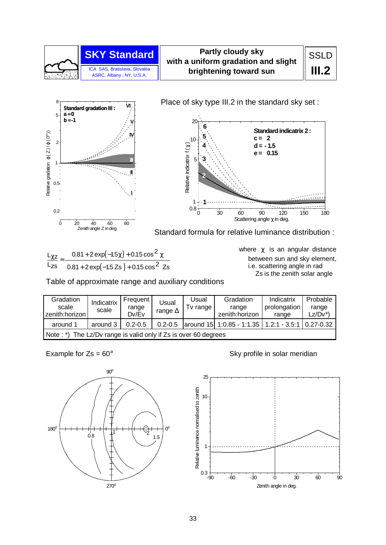

#### **Partly cloudy sky with a uniform gradation and slight brightening toward sun**



Place of sky type III.2 in the standard sky set :



Zenith angle Z in deg. Standard formula for relative luminance distribution :

| $\frac{L_{\chi z}}{L_{\chi z}} = \frac{0.81 + 2 \exp(-1.5 \chi) + 0.15 \cos^2 \chi}{L_{\chi z}}$ |
|--------------------------------------------------------------------------------------------------|
| Lzs $0.81 + 2 \exp(-1.5 \text{ Zs}) + 0.15 \cos^2 \text{ Zs}$                                    |

where  $\chi$  is an angular distance between sun and sky element, i.e. scattering angle in rad Zs is the zenith solar angle

Table of approximate range and auxiliary conditions

| Gradation<br>scale<br>zenith:horizon                                        | Indicatrix<br>scale | Frequent<br>range<br>Dv/Ev | Usual<br>range $\Delta$ | Usual<br>Tv range | Gradation<br>range<br>zenith: horizon     | Indicatrix<br>prolongation<br>range | Probable<br>range<br>$LZ/DV^*$ |  |
|-----------------------------------------------------------------------------|---------------------|----------------------------|-------------------------|-------------------|-------------------------------------------|-------------------------------------|--------------------------------|--|
| around 1                                                                    | around 3            | $0.2 - 0.5$                | $0.2 - 0.5$             |                   | around 15 1:0.85 - 1:1.35   1.2:1 - 3.5:1 |                                     | $0.27 - 0.32$                  |  |
| The Lz/Dv range is valid only if Zs is over 60 degrees<br>Note $:$ $\ast$ ) |                     |                            |                         |                   |                                           |                                     |                                |  |



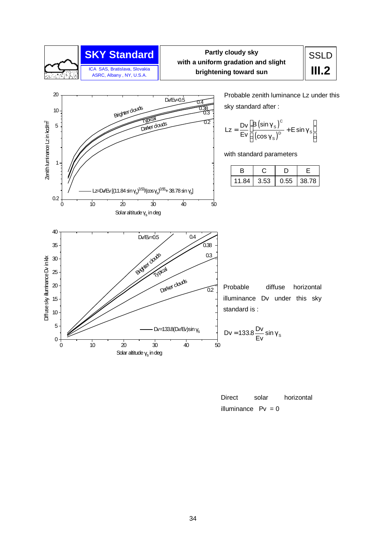

#### **SKY Standard SKY Standard SKY Standard SSLD Partly cloudy sky with a uniform gradation and slight brightening toward sun**

# **III.2**



Probable zenith luminance Lz under this

$$
Lz = \frac{Dv}{Ev} \left[ \frac{B(\sin \gamma_s)^c}{(\cos \gamma_s)^D} + E \sin \gamma_s \right]
$$

with standard parameters

| В     |      |      |       |
|-------|------|------|-------|
| 11.84 | 3.53 | 0.55 | 38.78 |
|       |      |      |       |

Probable diffuse horizontal illuminance Dv under this sky

$$
Dv = 133.8 \frac{Dv}{Ev} \sin \gamma_s
$$

| Direct                | solar | horizontal |
|-----------------------|-------|------------|
| illuminance $P_v = 0$ |       |            |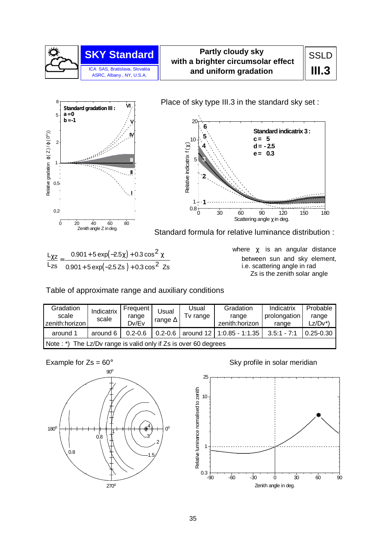

#### **Partly cloudy sky with a brighter circumsolar effect and uniform gradation**



Place of sky type III.3 in the standard sky set :



Zenith angle Z in deg. Standard formula for relative luminance distribution :

| $\frac{L_{\chi z}}{L_{\chi z}} = \frac{0.901 + 5 \exp(-2.5 \chi) + 0.3 \cos^2 \chi}{L_{\chi z}}$ |
|--------------------------------------------------------------------------------------------------|
| Lzs $0.901 + 5 \exp(-2.5 Zs) + 0.3 \cos^2 Zs$                                                    |

where  $\chi$  is an angular distance between sun and sky element, i.e. scattering angle in rad Zs is the zenith solar angle

Table of approximate range and auxiliary conditions

| Gradation<br>scale<br>zenith:horizon                            | Indicatrix<br>scale | <b>Frequent</b><br>range<br>Dv/Ev | Usual<br>range $\Delta$ | Usual<br>Tv range | Gradation<br>range<br>zenith: horizon | Indicatrix<br>prolongation<br>range | Probable<br>range<br>Lz/Dv*) |  |  |
|-----------------------------------------------------------------|---------------------|-----------------------------------|-------------------------|-------------------|---------------------------------------|-------------------------------------|------------------------------|--|--|
| around 1                                                        | around 6            | $0.2 - 0.6$                       | $0.2 - 0.6$             |                   | around 12   1:0.85 - 1:1.35           | $3.5:1 - 7:1$                       | $0.25 - 0.30$                |  |  |
| Note: *) The Lz/Dv range is valid only if Zs is over 60 degrees |                     |                                   |                         |                   |                                       |                                     |                              |  |  |



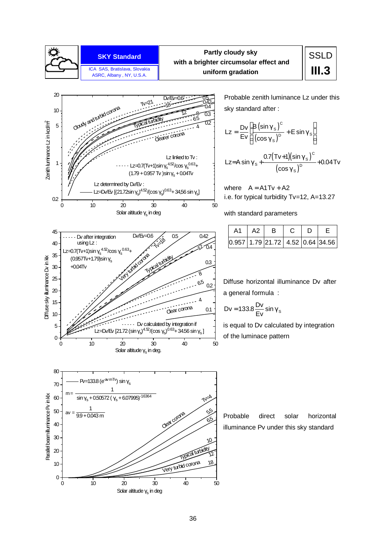

#### **Partly cloudy sky with a brighter circumsolar effect and uniform gradation**

# **SSLD III.3**



Probable zenith luminance Lz under this sky standard after :

$$
Lz = \frac{Dv}{Ev} \left[ \frac{B(\sin \gamma_s)^c}{(\cos \gamma_s)^D} + E \sin \gamma_s \right]
$$
  

$$
Lz = A \sin \gamma_s + \frac{0.7(Tv+1)(\sin \gamma_s)^c}{(\cos \gamma_s)^D} + 0.04Tv
$$

where  $A = A1 Tv + A2$ i.e. for typical turbidity Tv=12, A=13.27

with standard parameters

|  | $A2$ l | B.                               | - D |  |
|--|--------|----------------------------------|-----|--|
|  |        | 0.957 1.79 21.72 4.52 0.64 34.56 |     |  |

Diffuse horizontal illuminance Dv after a general formula :

$$
Dv = 133.8 \frac{Dv}{Ev} \sin \gamma_s
$$

is equal to Dv calculated by integration of the luminace pattern





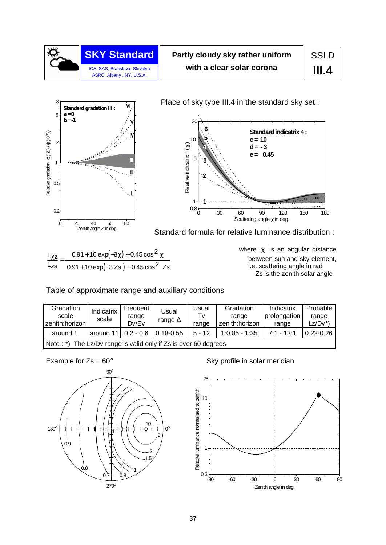

# **Partly cloudy sky rather uniform with a clear solar corona**

**SSLD III.4**



Place of sky type III.4 in the standard sky set:



Zenith angle Z in deg. Standard formula for relative luminance distribution :

| $\frac{L_{\chi z}}{L_{\chi z}} = \frac{0.91 + 10 \exp(-3\chi) + 0.45 \cos^2 \chi}{L_{\chi z}}$ |
|------------------------------------------------------------------------------------------------|
| Lzs $0.91 + 10 \exp(-3 \text{ Zs}) + 0.45 \cos^2 \text{ Zs}$                                   |

where  $\chi$  is an angular distance between sun and sky element, i.e. scattering angle in rad Zs is the zenith solar angle

Table of approximate range and auxiliary conditions

| Gradation<br>scale<br>zenith:horizon                                        | Indicatrix<br>scale        | Frequent<br>range<br>Dv/Ev | Usual<br>range $\Delta$ | Usual<br>Tv<br>range | Gradation<br>range<br>zenith:horizon | Indicatrix<br>prolongation<br>range | Probable<br>range<br>$Lz/Dv^*$ |  |
|-----------------------------------------------------------------------------|----------------------------|----------------------------|-------------------------|----------------------|--------------------------------------|-------------------------------------|--------------------------------|--|
| around 1                                                                    | around $11 \mid 0.2 - 0.6$ |                            | $0.18 - 0.55$           | $5 - 12$             | $1:0.85 - 1:35$                      | $7:1 - 13:1$                        | $0.22 - 0.26$                  |  |
| The Lz/Dv range is valid only if Zs is over 60 degrees<br>Note $:$ $\ast$ ) |                            |                            |                         |                      |                                      |                                     |                                |  |



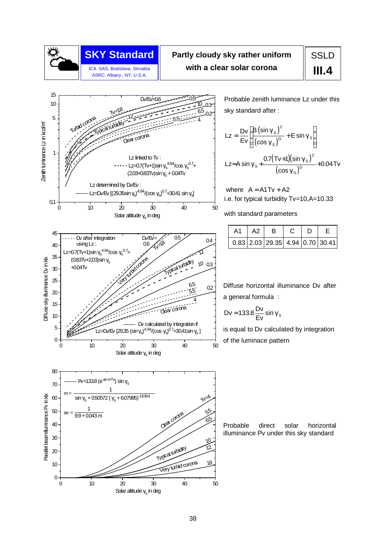

# **SKY Standard Partly cloudy sky rather uniform With a clear solar corona a III.4 III.4 III.4**

# **SSLD**



0 10 20 30 40 50

Solar altitude  $\gamma_{\rm s}$  in deg

 $\mathbf{0}$ 

10

Probable zenith luminance Lz under this sky standard after :

$$
Lz = \frac{Dv}{Ev} \left[ \frac{B(\sin \gamma_s)^c}{(\cos \gamma_s)^D} + E \sin \gamma_s \right]
$$
  

$$
Lz = A \sin \gamma_s + \frac{0.7(Tv+1)(\sin \gamma_s)^c}{(\cos \gamma_s)^D} + 0.04
$$

where  $A = A1 Tv + A2$ i.e. for typical turbidity Tv=10,A=10.33

with standard parameters

|  | A2 |                                             | D |  |
|--|----|---------------------------------------------|---|--|
|  |    | $0.83$   2.03   29.35   4.94   0.70   30.41 |   |  |

Diffuse horizontal illuminance Dv after a general formula :

$$
Dv = 133.8 \frac{Dv}{Ev} \sin \gamma_s
$$

is equal to Dv calculated by integration of the luminace pattern

Probable direct solar horizontal illuminance Pv under this sky standard

Very turbid corona

18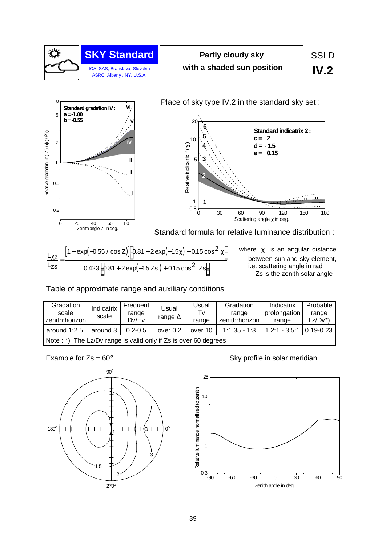

# **Partly cloudy sky with a shaded sun position**

SSLD **IV.2**



Place of sky type IV.2 in the standard sky set :



Zenith angle Z in deg. Standard formula for relative luminance distribution :

$$
\frac{L_{\chi Z}}{L_{\chi S}} = \frac{\left[1 - \exp(-0.55 / \cos Z)\right]\left[0.81 + 2 \exp(-1.5 \chi) + 0.15 \cos^2 \chi\right]}{0.423\left[0.81 + 2 \exp(-1.5 Zs) + 0.15 \cos^2 Zs\right]}
$$

where  $\chi$  is an angular distance between sun and sky element, i.e. scattering angle in rad Zs is the zenith solar angle

Table of approximate range and auxiliary conditions

| Gradation<br>scale<br>zenith:horizon                            | Indicatrix<br>scale | Frequent<br>range<br>Dv/Ev | Usual<br>range $\Delta$ | Usual<br>Tv.<br>range | Gradation<br>range<br>zenith:horizon | Indicatrix<br>prolongation<br>range | Probable<br>range<br>$Lz/Dv^*$ |  |
|-----------------------------------------------------------------|---------------------|----------------------------|-------------------------|-----------------------|--------------------------------------|-------------------------------------|--------------------------------|--|
| around $1:2.5$                                                  | around 3            | $0.2 - 0.5$                | over $0.2$              | over 10               | $1:1.35 - 1:3$                       | $1.2:1 - 3.5:1 \mid 0.19 - 0.23$    |                                |  |
| Note: *) The Lz/Dv range is valid only if Zs is over 60 degrees |                     |                            |                         |                       |                                      |                                     |                                |  |



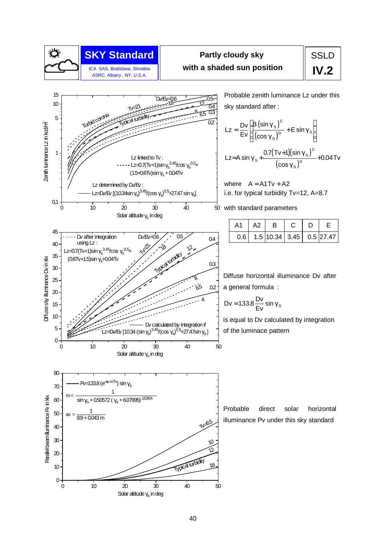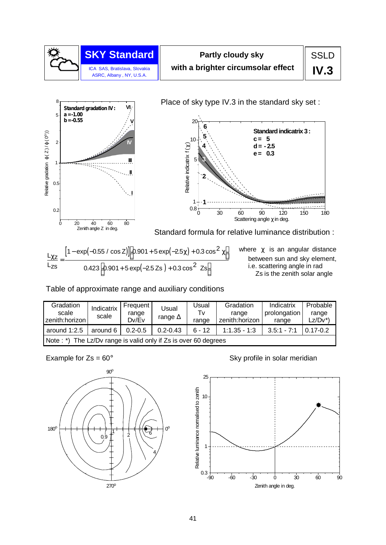



Place of sky type IV.3 in the standard sky set :



Zenith angle Z in deg. Standard formula for relative luminance distribution :

$$
\frac{L_{\chi z}}{L_{zs}} = \frac{\left[1 - \exp(-0.55 / \cos z)\right] \left[0.901 + 5 \exp(-2.5 \chi) + 0.3 \cos^2 \chi\right]}{0.423 \left[0.901 + 5 \exp(-2.5 Zs) + 0.3 \cos^2 z \right]}
$$

where  $\chi$  is an angular distance between sun and sky element, i.e. scattering angle in rad Zs is the zenith solar angle

Table of approximate range and auxiliary conditions

| Gradation<br>scale<br>zenith:horizon                            | Indicatrix<br>scale | Frequent  <br>range<br>Dv/Ev | Usual<br>range $\Delta$ | Usual<br>Tv<br>range | Gradation<br>range<br>zenith:horizon | Indicatrix<br>prolongation<br>range | Probable<br>range<br>Lz/Dv*` |  |  |
|-----------------------------------------------------------------|---------------------|------------------------------|-------------------------|----------------------|--------------------------------------|-------------------------------------|------------------------------|--|--|
| around 1:2.5                                                    | around 6            | $0.2 - 0.5$                  | $0.2 - 0.43$            | $6 - 12$             | $1:1.35 - 1:3$                       | $3.5:1 - 7:1$                       | $0.17 - 0.2$                 |  |  |
| Note: *) The Lz/Dv range is valid only if Zs is over 60 degrees |                     |                              |                         |                      |                                      |                                     |                              |  |  |



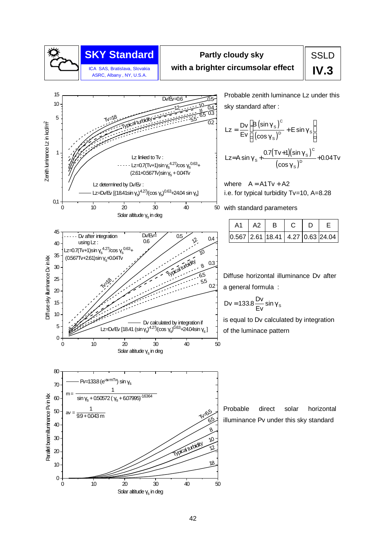

#### **SKY Standard SKY Standard S** Partly cloudy sky **SSLD Partly cloudy sky with a brighter circumsolar effect**

# **IV.3**

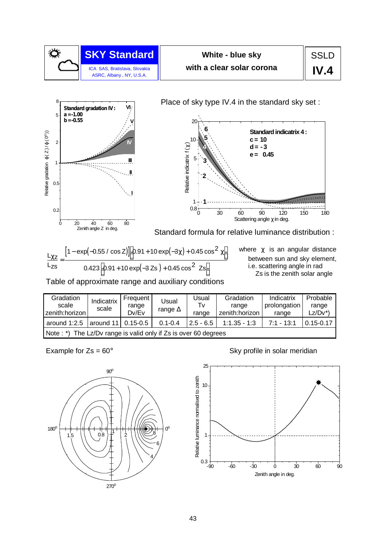



Place of sky type IV.4 in the standard sky set :



Zenith angle Z in deg. Standard formula for relative luminance distribution :

$$
\frac{L_{\chi z}}{L_{zs}} = \frac{\left[1 - \exp(-0.55 / \cos z)\right] \left[0.91 + 10 \exp(-3\chi) + 0.45 \cos^2 \chi\right]}{0.423 \left[0.91 + 10 \exp(-3 z\right) + 0.45 \cos^2 z\right]}
$$

where  $\chi$  is an angular distance between sun and sky element, i.e. scattering angle in rad Zs is the zenith solar angle

Table of approximate range and auxiliary conditions

| Gradation<br>scale<br>zenith: horizon                           | Indicatrix<br>scale | Frequent<br>range<br>Dv/Ev | Usual<br>range $\Delta$ | <b>Usual</b><br>Tv<br>range | Gradation<br>range<br>zenith: horizon | Indicatrix<br>prolongation<br>range | Probable<br>range<br>$LZ/DV^*$ |  |  |
|-----------------------------------------------------------------|---------------------|----------------------------|-------------------------|-----------------------------|---------------------------------------|-------------------------------------|--------------------------------|--|--|
| around $1:2.5$                                                  | around 11 0.15-0.5  |                            | $0.1 - 0.4$             | $2.5 - 6.5$                 | $1:1.35 - 1:3$                        | $7:1 - 13:1$                        | $0.15 - 0.17$                  |  |  |
| Note: *) The Lz/Dv range is valid only if Zs is over 60 degrees |                     |                            |                         |                             |                                       |                                     |                                |  |  |



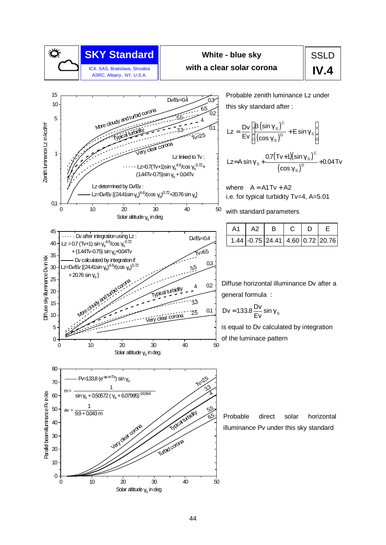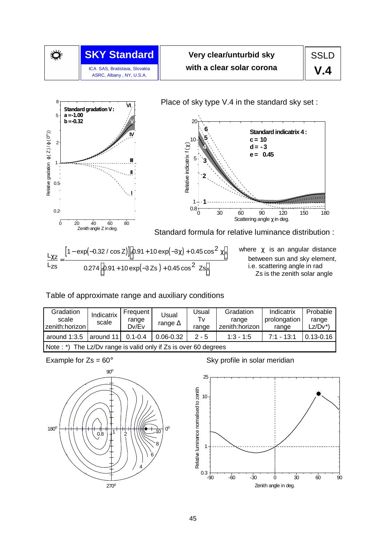

# **Very clear/unturbid sky with a clear solar corona**



Place of sky type V.4 in the standard sky set :



Zenith angle Z in deg. Standard formula for relative luminance distribution :

$$
\frac{L_{\chi Z}}{L_{\chi S}} = \frac{\left[1 - \exp(-0.32 / \cos Z)\right] \left[0.91 + 10 \exp(-3 \chi) + 0.45 \cos^2 \chi\right]}{0.274 \left[0.91 + 10 \exp(-3 Z s) + 0.45 \cos^2 Z s\right]}
$$

where  $\chi$  is an angular distance between sun and sky element, i.e. scattering angle in rad Zs is the zenith solar angle

#### Table of approximate range and auxiliary conditions

| Gradation<br>scale<br>zenith:horizon                                        | Indicatrix<br>scale | Frequent<br>range<br>Dv/Ev | Usual<br>range $\Delta$ | Usual<br>Tv<br>range | Gradation<br>range<br>zenith:horizon | Indicatrix<br>prolongation<br>range | Probable<br>range<br>Lz/Dv*) |  |  |
|-----------------------------------------------------------------------------|---------------------|----------------------------|-------------------------|----------------------|--------------------------------------|-------------------------------------|------------------------------|--|--|
| around $1:3.5$                                                              | around 11           | $0.1 - 0.4$                | $0.06 - 0.32$           | $2 - 5$              | $1:3 - 1:5$                          | $7:1 - 13:1$                        | $0.13 - 0.16$                |  |  |
| The Lz/Dv range is valid only if Zs is over 60 degrees<br>Note $:$ $\ast$ ) |                     |                            |                         |                      |                                      |                                     |                              |  |  |



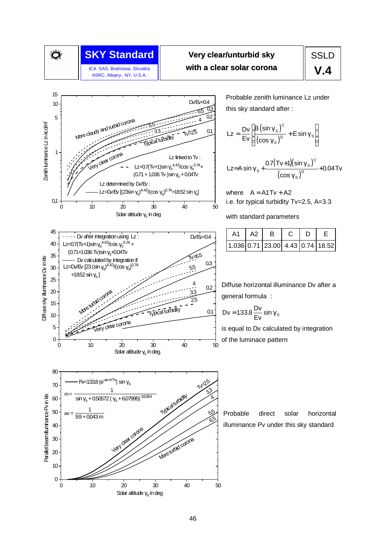

ASRC, Albany , NY, U.S.A.

## **SKY Standard Construct** Very clear/unturbid sky Tangles SSLD ICA SAS, Bratislava, Slovakia **with a clear solar corona**

# **V.4**



0 10 20 30 40 50

Solar altitude  $\gamma_{\rm s}$  in deg

 $0 -$ 

Probable zenith luminance Lz under this sky standard after :

$$
Lz = \frac{Dv}{Ev} \left[ \frac{B(\sin \gamma_s)^c}{(\cos \gamma_s)^D} + E \sin \gamma_s \right]
$$

$$
\text{Lz=A}\sin\gamma_{\text{S}} + \frac{0.7(\text{Tv}+1)(\sin\gamma_{\text{S}})^{\text{C}}}{(\cos\gamma_{\text{S}})^{\text{D}}} + 0.04\,\text{Tv}
$$

where  $A = A1 Tv + A2$ i.e. for typical turbidity Tv=2.5, A=3.3

with standard parameters

|  | A <sub>2</sub> |                                  |  |  |
|--|----------------|----------------------------------|--|--|
|  |                | 1.036 0.71 23.00 4.43 0.74 18.52 |  |  |

Diffuse horizontal illuminance Dv after a general formula :

$$
Dv = 133.8 \frac{Dv}{Ev} \sin \gamma_s
$$

is equal to Dv calculated by integration of the luminace pattern

Probable direct solar horizontal illuminance Pv under this sky standard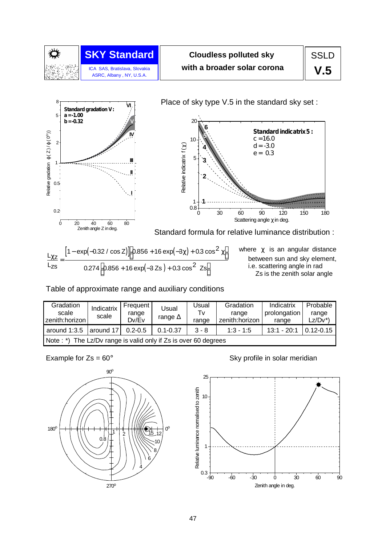

# **Cloudless polluted sky with a broader solar corona**



Place of sky type V.5 in the standard sky set :



Zenith angle Z in deg. Standard formula for relative luminance distribution :

$$
\frac{L_{\chi Z}}{L_{ZS}} = \frac{\left[1 - \exp(-0.32 / \cos Z)\right] \left[0.856 + 16 \exp(-3\chi) + 0.3 \cos^2 \chi\right]}{0.274 \left[0.856 + 16 \exp(-3 Zs) + 0.3 \cos^2 Zs\right]}
$$

where  $\chi$  is an angular distance between sun and sky element, i.e. scattering angle in rad Zs is the zenith solar angle

Table of approximate range and auxiliary conditions

| Gradation<br>scale<br>zenith:horizon                            | Indicatrix<br>scale | Frequent<br>range<br>Dv/Ev | Usual<br>range $\Delta$ | Jsual<br>Tv<br>range | Gradation<br>range<br>zenith:horizon | Indicatrix<br>prolongation<br>range | Probable<br>range<br>Lz/Dv*` |  |  |
|-----------------------------------------------------------------|---------------------|----------------------------|-------------------------|----------------------|--------------------------------------|-------------------------------------|------------------------------|--|--|
| around $1:3.5$                                                  | around 17           | $0.2 - 0.5$                | $0.1 - 0.37$            | $3 - 8$              | $1:3 - 1:5$                          | $13:1 - 20:1$                       | $0.12 - 0.15$                |  |  |
| Note: *) The Lz/Dv range is valid only if Zs is over 60 degrees |                     |                            |                         |                      |                                      |                                     |                              |  |  |



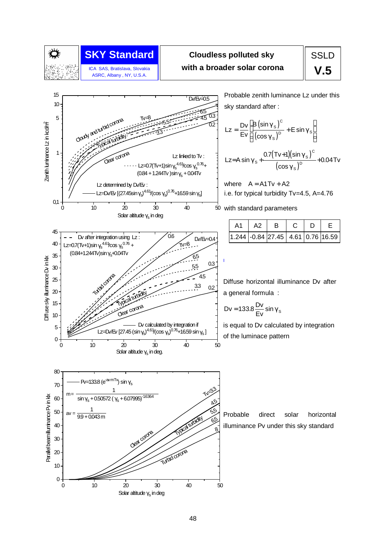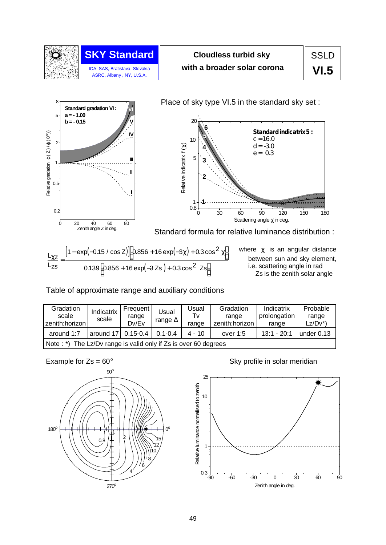

# **Cloudless turbid sky with a broader solar corona**

Place of sky type VI.5 in the standard sky set :



20 **6 Standardindicatrix5 : 5 c =16.0**  $1<sub>0</sub>$ Relative indicatrix  $f(\chi)$ **d= -3.0** Relative indicatrix f (χ) **4 e = 0.3** 5 **3 2 1** 1 0.8 0 30 60 90 120 150 180 Scattering angle  $\chi$  in deg. Standard formula for relative luminance distribution :

 $\left[1 - \exp(-0.15 / \cos Z)\right]$  0.856 + 16  $\exp(-3\chi)$  + 0.3  $\cos^2 \chi$  $\left[ 0.856 + 16 \exp(-3 \text{ Zs}) + 0.3 \cos^2 \text{ Zs} \right]$  $L_{\chi z}$ Lzs  $[1 - \exp(-0.15 / \cos Z)]$  $\frac{\chi z}{\chi}$  =  $\overline{\phantom{a}}$ 1 –  $\exp(-0.15 / \cos Z)]$  0.856 + 16  $\exp(-3\chi)$  + 0.3  $\cos^2 \chi$  $\overline{\phantom{a}}$  $0.139 \left[ 0.856 + 16 \exp(-3 \text{ Zs}) + 0.3 \cos^2 \text{ Zs} \right]$ 

where  $\chi$  is an angular distance between sun and sky element, i.e. scattering angle in rad Zs is the zenith solar angle

Table of approximate range and auxiliary conditions

| Gradation<br>scale<br>zenith:horizon                            | Indicatrix<br>scale  | Frequent<br>range<br>Dv/Ev | Usual<br>range $\Delta$ | Usual<br>Tv<br>range | Gradation<br>range<br>zenith:horizon | Indicatrix<br>prolongation<br>range | Probable<br>range<br>$Lz/Dv^*$ |  |
|-----------------------------------------------------------------|----------------------|----------------------------|-------------------------|----------------------|--------------------------------------|-------------------------------------|--------------------------------|--|
| around 1:7                                                      | around 17   0.15-0.4 |                            | $0.1 - 0.4$             | $4 - 10$             | over $1:5$                           | $13:1 - 20:1$                       | under $0.13$                   |  |
| Note: *) The Lz/Dv range is valid only if Zs is over 60 degrees |                      |                            |                         |                      |                                      |                                     |                                |  |



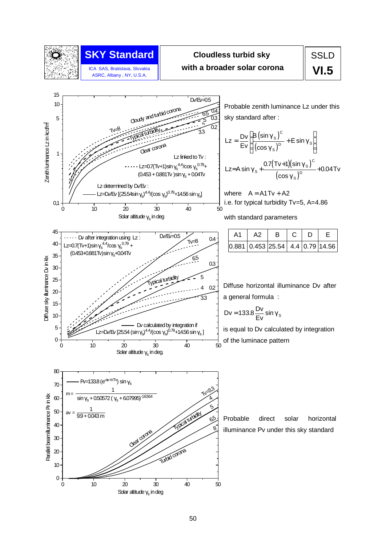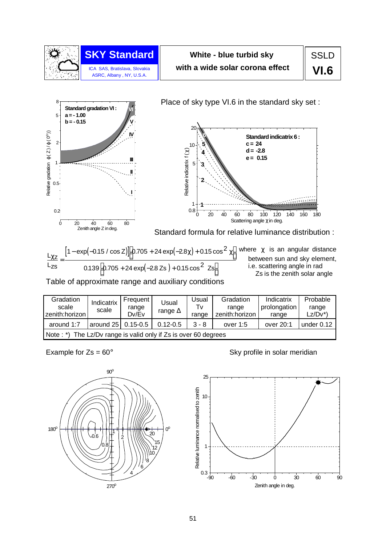

# **White - blue turbid sky with a wide solar corona effect**



between sun and sky element, i.e. scattering angle in rad Zs is the zenith solar angle

.<br>Geboort ,,,,,,,

Table of approximate range and auxiliary conditions

 $\left[0.705 + 24 \exp(-2.8 \text{ Zs}) + 0.15 \cos^2 \text{ Zs}\right]$ 

 $0.139 \bigg[ 0.705 + 24 \exp(-2.8 \text{ Zs}) + 0.15 \cos^2 \text{ Zs} \bigg]$ 

| Gradation<br>scale<br>zenith:horizon                                        | Indicatrix<br>scale | Frequent<br>range<br>Dv/Ev | Usual<br>range $\Delta$ | Jsual<br>Tv<br>range | Gradation<br>range<br>zenith:horizon | Indicatrix<br>prolongation<br>range | Probable<br>range<br>$Lz/Dv^*$ |  |  |
|-----------------------------------------------------------------------------|---------------------|----------------------------|-------------------------|----------------------|--------------------------------------|-------------------------------------|--------------------------------|--|--|
| around 1:7                                                                  | around 25           | $0.15 - 0.5$               | $0.12 - 0.5$            | $3 - 8$              | over $1:5$                           | over 20:1                           | under 0.12                     |  |  |
| The Lz/Dv range is valid only if Zs is over 60 degrees<br>Note $:$ $\ast$ ) |                     |                            |                         |                      |                                      |                                     |                                |  |  |

 $\overline{\phantom{a}}$ 

Lzs



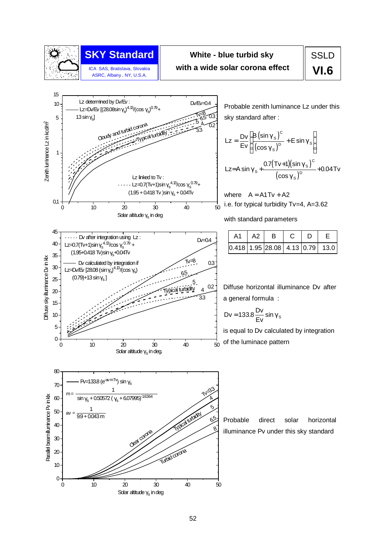

# **SKY Standard**

ICA SAS, Bratislava, Slovakia ASRC, Albany , NY, U.S.A.

## **White - blue turbid sky with a wide solar corona effect**

**SSLD VI.6**



Probable zenith luminance Lz under this sky standard after :

$$
Lz = \frac{Dv}{Ev} \left[ \frac{B(\sin \gamma_s)^c}{(\cos \gamma_s)^D} + E \sin \gamma_s \right]
$$
  

$$
Lz = A \sin \gamma_s + \frac{0.7(Tv+1)(\sin \gamma_s)^c}{(\cos \gamma_s)^D} + 0.04Tv
$$

where  $A = A1Tv + A2$ i.e. for typical turbidity Tv=4, A=3.62

with standard parameters

|  | A <sub>2</sub> | B                                                                           |  |  |
|--|----------------|-----------------------------------------------------------------------------|--|--|
|  |                | $\vert 0.418 \vert 1.95 \vert 28.08 \vert 4.13 \vert 0.79 \vert 13.0 \vert$ |  |  |

Diffuse horizontal illuminance Dv after a general formula :

$$
Dv = 133.8 \frac{Dv}{Ev} \sin \gamma_s
$$

is equal to Dv calculated by integration of the luminace pattern

Probable direct solar horizontal illuminance Pv under this sky standard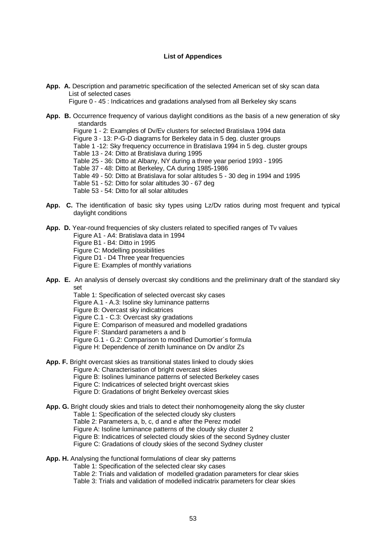#### **List of Appendices**

- **App. A.** Description and parametric specification of the selected American set of sky scan data List of selected cases
	- Figure 0 45 : Indicatrices and gradations analysed from all Berkeley sky scans
- **App. B.** Occurrence frequency of various daylight conditions as the basis of a new generation of sky standards

Figure 1 - 2: Examples of Dv/Ev clusters for selected Bratislava 1994 data Figure 3 - 13: P-G-D diagrams for Berkeley data in 5 deg. cluster groups Table 1 -12: Sky frequency occurrence in Bratislava 1994 in 5 deg. cluster groups Table 13 - 24: Ditto at Bratislava during 1995 Table 25 - 36: Ditto at Albany, NY during a three year period 1993 - 1995 Table 37 - 48: Ditto at Berkeley, CA during 1985-1986 Table 49 - 50: Ditto at Bratislava for solar altitudes 5 - 30 deg in 1994 and 1995 Table 51 - 52: Ditto for solar altitudes 30 - 67 deg Table 53 - 54: Ditto for all solar altitudes

**App. C.** The identification of basic sky types using Lz/Dv ratios during most frequent and typical daylight conditions

**App. D.** Year-round frequencies of sky clusters related to specified ranges of Tv values Figure A1 - A4: Bratislava data in 1994 Figure B1 - B4: Ditto in 1995 Figure C: Modelling possibilities Figure D1 - D4 Three year frequencies Figure E: Examples of monthly variations

- **App. E.** An analysis of densely overcast sky conditions and the preliminary draft of the standard sky set
	- Table 1: Specification of selected overcast sky cases

Figure A.1 - A.3: Isoline sky luminance patterns

- Figure B: Overcast sky indicatrices
- Figure C.1 C.3: Overcast sky gradations
- Figure E: Comparison of measured and modelled gradations
- Figure F: Standard parameters a and b
- Figure G.1 G.2: Comparison to modified Dumortier´s formula
- Figure H: Dependence of zenith luminance on Dv and/or Zs
- **App. F.** Bright overcast skies as transitional states linked to cloudy skies
	- Figure A: Characterisation of bright overcast skies
	- Figure B: Isolines luminance patterns of selected Berkeley cases
	- Figure C: Indicatrices of selected bright overcast skies
	- Figure D: Gradations of bright Berkeley overcast skies

**App. G.** Bright cloudy skies and trials to detect their nonhomogeneity along the sky cluster Table 1: Specification of the selected cloudy sky clusters Table 2: Parameters a, b, c, d and e after the Perez model Figure A: Isoline luminance patterns of the cloudy sky cluster 2 Figure B: Indicatrices of selected cloudy skies of the second Sydney cluster Figure C: Gradations of cloudy skies of the second Sydney cluster

#### **App. H.** Analysing the functional formulations of clear sky patterns Table 1: Specification of the selected clear sky cases

Table 2: Trials and validation of modelled gradation parameters for clear skies

Table 3: Trials and validation of modelled indicatrix parameters for clear skies